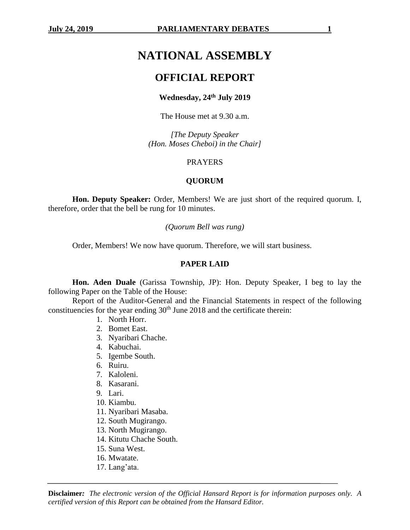# **NATIONAL ASSEMBLY**

## **OFFICIAL REPORT**

#### **Wednesday, 24th July 2019**

The House met at 9.30 a.m.

*[The Deputy Speaker (Hon. Moses Cheboi) in the Chair]*

#### PRAYERS

#### **QUORUM**

**Hon. Deputy Speaker:** Order, Members! We are just short of the required quorum. I, therefore, order that the bell be rung for 10 minutes.

#### *(Quorum Bell was rung)*

Order, Members! We now have quorum. Therefore, we will start business.

#### **PAPER LAID**

**Hon. Aden Duale** (Garissa Township, JP): Hon. Deputy Speaker, I beg to lay the following Paper on the Table of the House:

Report of the Auditor-General and the Financial Statements in respect of the following constituencies for the year ending  $30<sup>th</sup>$  June 2018 and the certificate therein:

- 1. North Horr.
- 2. Bomet East.
- 3. Nyaribari Chache.
- 4. Kabuchai.
- 5. Igembe South.
- 6. Ruiru.
- 7. Kaloleni.
- 8. Kasarani.
- 9. Lari.
- 10. Kiambu.
- 11. Nyaribari Masaba.
- 12. South Mugirango.
- 13. North Mugirango.
- 14. Kitutu Chache South.
- 15. Suna West.
- 16. Mwatate.
- 17. Lang'ata.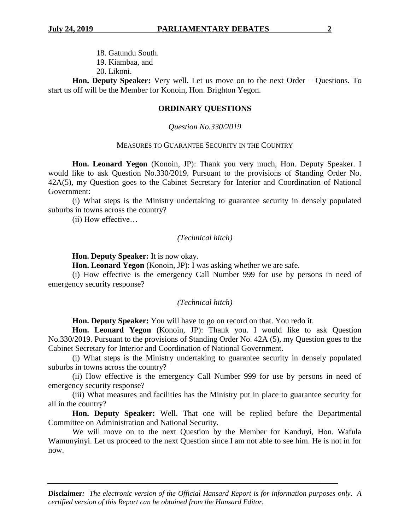18. Gatundu South. 19. Kiambaa, and 20. Likoni.

**Hon. Deputy Speaker:** Very well. Let us move on to the next Order – Questions. To start us off will be the Member for Konoin, Hon. Brighton Yegon.

#### **ORDINARY QUESTIONS**

#### *Question No.330/2019*

#### MEASURES TO GUARANTEE SECURITY IN THE COUNTRY

**Hon. Leonard Yegon** (Konoin, JP): Thank you very much, Hon. Deputy Speaker. I would like to ask Question No.330/2019. Pursuant to the provisions of Standing Order No. 42A(5), my Question goes to the Cabinet Secretary for Interior and Coordination of National Government:

(i) What steps is the Ministry undertaking to guarantee security in densely populated suburbs in towns across the country?

(ii) How effective…

#### *(Technical hitch)*

**Hon. Deputy Speaker:** It is now okay.

**Hon. Leonard Yegon** (Konoin, JP): I was asking whether we are safe.

(i) How effective is the emergency Call Number 999 for use by persons in need of emergency security response?

#### *(Technical hitch)*

**Hon. Deputy Speaker:** You will have to go on record on that. You redo it.

**Hon. Leonard Yegon** (Konoin, JP): Thank you. I would like to ask Question No.330/2019. Pursuant to the provisions of Standing Order No. 42A (5), my Question goes to the Cabinet Secretary for Interior and Coordination of National Government.

(i) What steps is the Ministry undertaking to guarantee security in densely populated suburbs in towns across the country?

(ii) How effective is the emergency Call Number 999 for use by persons in need of emergency security response?

(iii) What measures and facilities has the Ministry put in place to guarantee security for all in the country?

**Hon. Deputy Speaker:** Well. That one will be replied before the Departmental Committee on Administration and National Security.

We will move on to the next Question by the Member for Kanduyi, Hon. Wafula Wamunyinyi. Let us proceed to the next Question since I am not able to see him. He is not in for now.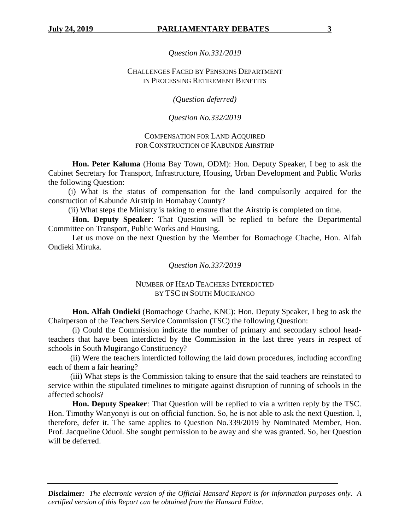*Question No.331/2019*

#### CHALLENGES FACED BY PENSIONS DEPARTMENT IN PROCESSING RETIREMENT BENEFITS

*(Question deferred)*

## *Question No.332/2019*

## COMPENSATION FOR LAND ACQUIRED FOR CONSTRUCTION OF KABUNDE AIRSTRIP

**Hon. Peter Kaluma** (Homa Bay Town, ODM): Hon. Deputy Speaker, I beg to ask the Cabinet Secretary for Transport, Infrastructure, Housing, Urban Development and Public Works the following Question:

 (i) What is the status of compensation for the land compulsorily acquired for the construction of Kabunde Airstrip in Homabay County?

(ii) What steps the Ministry is taking to ensure that the Airstrip is completed on time.

**Hon. Deputy Speaker**: That Question will be replied to before the Departmental Committee on Transport, Public Works and Housing.

Let us move on the next Question by the Member for Bomachoge Chache, Hon. Alfah Ondieki Miruka.

*Question No.337/2019*

## NUMBER OF HEAD TEACHERS INTERDICTED BY TSC IN SOUTH MUGIRANGO

**Hon. Alfah Ondieki** (Bomachoge Chache, KNC): Hon. Deputy Speaker, I beg to ask the Chairperson of the Teachers Service Commission (TSC) the following Question:

 (i) Could the Commission indicate the number of primary and secondary school headteachers that have been interdicted by the Commission in the last three years in respect of schools in South Mugirango Constituency?

 (ii) Were the teachers interdicted following the laid down procedures, including according each of them a fair hearing?

 (iii) What steps is the Commission taking to ensure that the said teachers are reinstated to service within the stipulated timelines to mitigate against disruption of running of schools in the affected schools?

**Hon. Deputy Speaker**: That Question will be replied to via a written reply by the TSC. Hon. Timothy Wanyonyi is out on official function. So, he is not able to ask the next Question. I, therefore, defer it. The same applies to Question No.339/2019 by Nominated Member, Hon. Prof. Jacqueline Oduol. She sought permission to be away and she was granted. So, her Question will be deferred.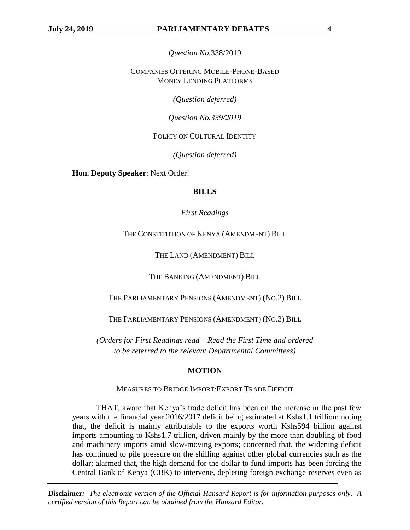*Question No.*338/2019

COMPANIES OFFERING MOBILE-PHONE-BASED MONEY LENDING PLATFORMS

*(Question deferred)*

*Question No.339/2019*

POLICY ON CULTURAL IDENTITY

*(Question deferred)*

**Hon. Deputy Speaker**: Next Order!

## **BILLS**

*First Readings*

THE CONSTITUTION OF KENYA (AMENDMENT) BILL

THE LAND (AMENDMENT) BILL

THE BANKING (AMENDMENT) BILL

THE PARLIAMENTARY PENSIONS (AMENDMENT) (NO.2) BILL

THE PARLIAMENTARY PENSIONS (AMENDMENT) (NO.3) BILL

*(Orders for First Readings read – Read the First Time and ordered to be referred to the relevant Departmental Committees)*

## **MOTION**

## MEASURES TO BRIDGE IMPORT/EXPORT TRADE DEFICIT

THAT, aware that Kenya's trade deficit has been on the increase in the past few years with the financial year 2016/2017 deficit being estimated at Kshs1.1 trillion; noting that, the deficit is mainly attributable to the exports worth Kshs594 billion against imports amounting to Kshs1.7 trillion, driven mainly by the more than doubling of food and machinery imports amid slow-moving exports; concerned that, the widening deficit has continued to pile pressure on the shilling against other global currencies such as the dollar; alarmed that, the high demand for the dollar to fund imports has been forcing the Central Bank of Kenya (CBK) to intervene, depleting foreign exchange reserves even as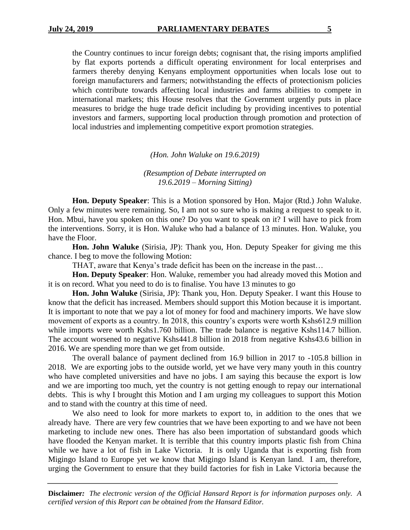the Country continues to incur foreign debts; cognisant that, the rising imports amplified by flat exports portends a difficult operating environment for local enterprises and farmers thereby denying Kenyans employment opportunities when locals lose out to foreign manufacturers and farmers; notwithstanding the effects of protectionism policies which contribute towards affecting local industries and farms abilities to compete in international markets; this House resolves that the Government urgently puts in place measures to bridge the huge trade deficit including by providing incentives to potential investors and farmers, supporting local production through promotion and protection of local industries and implementing competitive export promotion strategies.

*(Hon. John Waluke on 19.6.2019)*

*(Resumption of Debate interrupted on 19.6.2019 – Morning Sitting)*

**Hon. Deputy Speaker**: This is a Motion sponsored by Hon. Major (Rtd.) John Waluke. Only a few minutes were remaining. So, I am not so sure who is making a request to speak to it. Hon. Mbui, have you spoken on this one? Do you want to speak on it? I will have to pick from the interventions. Sorry, it is Hon. Waluke who had a balance of 13 minutes. Hon. Waluke, you have the Floor.

**Hon. John Waluke** (Sirisia, JP): Thank you, Hon. Deputy Speaker for giving me this chance. I beg to move the following Motion:

THAT, aware that Kenya's trade deficit has been on the increase in the past…

**Hon. Deputy Speaker**: Hon. Waluke, remember you had already moved this Motion and it is on record. What you need to do is to finalise. You have 13 minutes to go

**Hon. John Waluke** (Sirisia, JP): Thank you, Hon. Deputy Speaker. I want this House to know that the deficit has increased. Members should support this Motion because it is important. It is important to note that we pay a lot of money for food and machinery imports. We have slow movement of exports as a country. In 2018, this country's exports were worth Kshs612.9 million while imports were worth Kshs1.760 billion. The trade balance is negative Kshs114.7 billion. The account worsened to negative Kshs441.8 billion in 2018 from negative Kshs43.6 billion in 2016. We are spending more than we get from outside.

The overall balance of payment declined from 16.9 billion in 2017 to -105.8 billion in 2018. We are exporting jobs to the outside world, yet we have very many youth in this country who have completed universities and have no jobs. I am saying this because the export is low and we are importing too much, yet the country is not getting enough to repay our international debts. This is why I brought this Motion and I am urging my colleagues to support this Motion and to stand with the country at this time of need.

We also need to look for more markets to export to, in addition to the ones that we already have. There are very few countries that we have been exporting to and we have not been marketing to include new ones. There has also been importation of substandard goods which have flooded the Kenyan market. It is terrible that this country imports plastic fish from China while we have a lot of fish in Lake Victoria. It is only Uganda that is exporting fish from Migingo Island to Europe yet we know that Migingo Island is Kenyan land. I am, therefore, urging the Government to ensure that they build factories for fish in Lake Victoria because the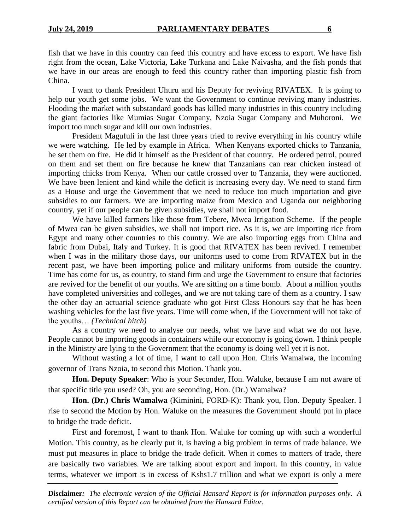fish that we have in this country can feed this country and have excess to export. We have fish right from the ocean, Lake Victoria, Lake Turkana and Lake Naivasha, and the fish ponds that we have in our areas are enough to feed this country rather than importing plastic fish from China.

I want to thank President Uhuru and his Deputy for reviving RIVATEX. It is going to help our youth get some jobs. We want the Government to continue reviving many industries. Flooding the market with substandard goods has killed many industries in this country including the giant factories like Mumias Sugar Company, Nzoia Sugar Company and Muhoroni. We import too much sugar and kill our own industries.

President Magufuli in the last three years tried to revive everything in his country while we were watching. He led by example in Africa. When Kenyans exported chicks to Tanzania, he set them on fire. He did it himself as the President of that country. He ordered petrol, poured on them and set them on fire because he knew that Tanzanians can rear chicken instead of importing chicks from Kenya. When our cattle crossed over to Tanzania, they were auctioned. We have been lenient and kind while the deficit is increasing every day. We need to stand firm as a House and urge the Government that we need to reduce too much importation and give subsidies to our farmers. We are importing maize from Mexico and Uganda our neighboring country, yet if our people can be given subsidies, we shall not import food.

We have killed farmers like those from Tebere, Mwea Irrigation Scheme. If the people of Mwea can be given subsidies, we shall not import rice. As it is, we are importing rice from Egypt and many other countries to this country. We are also importing eggs from China and fabric from Dubai, Italy and Turkey. It is good that RIVATEX has been revived. I remember when I was in the military those days, our uniforms used to come from RIVATEX but in the recent past, we have been importing police and military uniforms from outside the country. Time has come for us, as country, to stand firm and urge the Government to ensure that factories are revived for the benefit of our youths. We are sitting on a time bomb. About a million youths have completed universities and colleges, and we are not taking care of them as a country. I saw the other day an actuarial science graduate who got First Class Honours say that he has been washing vehicles for the last five years. Time will come when, if the Government will not take of the youths… *(Technical hitch)* 

As a country we need to analyse our needs, what we have and what we do not have. People cannot be importing goods in containers while our economy is going down. I think people in the Ministry are lying to the Government that the economy is doing well yet it is not.

Without wasting a lot of time, I want to call upon Hon. Chris Wamalwa, the incoming governor of Trans Nzoia, to second this Motion. Thank you.

**Hon. Deputy Speaker**: Who is your Seconder, Hon. Waluke, because I am not aware of that specific title you used? Oh, you are seconding, Hon. (Dr.) Wamalwa?

**Hon. (Dr.) Chris Wamalwa** (Kiminini, FORD-K): Thank you, Hon. Deputy Speaker. I rise to second the Motion by Hon. Waluke on the measures the Government should put in place to bridge the trade deficit.

First and foremost, I want to thank Hon. Waluke for coming up with such a wonderful Motion. This country, as he clearly put it, is having a big problem in terms of trade balance. We must put measures in place to bridge the trade deficit. When it comes to matters of trade, there are basically two variables. We are talking about export and import. In this country, in value terms, whatever we import is in excess of Kshs1.7 trillion and what we export is only a mere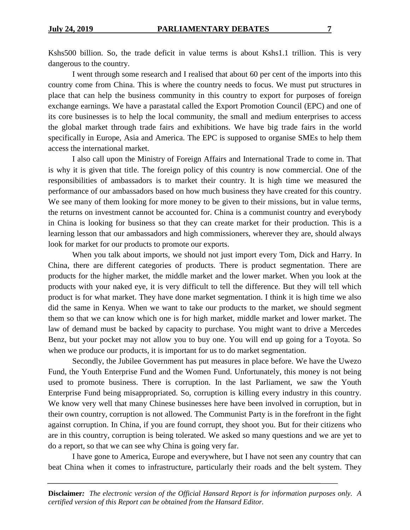Kshs500 billion. So, the trade deficit in value terms is about Kshs1.1 trillion. This is very dangerous to the country.

I went through some research and I realised that about 60 per cent of the imports into this country come from China. This is where the country needs to focus. We must put structures in place that can help the business community in this country to export for purposes of foreign exchange earnings. We have a parastatal called the Export Promotion Council (EPC) and one of its core businesses is to help the local community, the small and medium enterprises to access the global market through trade fairs and exhibitions. We have big trade fairs in the world specifically in Europe, Asia and America. The EPC is supposed to organise SMEs to help them access the international market.

I also call upon the Ministry of Foreign Affairs and International Trade to come in. That is why it is given that title. The foreign policy of this country is now commercial. One of the responsibilities of ambassadors is to market their country. It is high time we measured the performance of our ambassadors based on how much business they have created for this country. We see many of them looking for more money to be given to their missions, but in value terms, the returns on investment cannot be accounted for. China is a communist country and everybody in China is looking for business so that they can create market for their production. This is a learning lesson that our ambassadors and high commissioners, wherever they are, should always look for market for our products to promote our exports.

When you talk about imports, we should not just import every Tom, Dick and Harry. In China, there are different categories of products. There is product segmentation. There are products for the higher market, the middle market and the lower market. When you look at the products with your naked eye, it is very difficult to tell the difference. But they will tell which product is for what market. They have done market segmentation. I think it is high time we also did the same in Kenya. When we want to take our products to the market, we should segment them so that we can know which one is for high market, middle market and lower market. The law of demand must be backed by capacity to purchase. You might want to drive a Mercedes Benz, but your pocket may not allow you to buy one. You will end up going for a Toyota. So when we produce our products, it is important for us to do market segmentation.

Secondly, the Jubilee Government has put measures in place before. We have the Uwezo Fund, the Youth Enterprise Fund and the Women Fund. Unfortunately, this money is not being used to promote business. There is corruption. In the last Parliament, we saw the Youth Enterprise Fund being misappropriated. So, corruption is killing every industry in this country. We know very well that many Chinese businesses here have been involved in corruption, but in their own country, corruption is not allowed. The Communist Party is in the forefront in the fight against corruption. In China, if you are found corrupt, they shoot you. But for their citizens who are in this country, corruption is being tolerated. We asked so many questions and we are yet to do a report, so that we can see why China is going very far.

I have gone to America, Europe and everywhere, but I have not seen any country that can beat China when it comes to infrastructure, particularly their roads and the belt system. They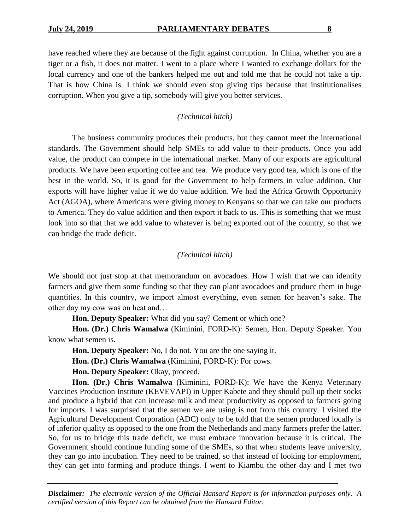have reached where they are because of the fight against corruption. In China, whether you are a tiger or a fish, it does not matter. I went to a place where I wanted to exchange dollars for the local currency and one of the bankers helped me out and told me that he could not take a tip. That is how China is. I think we should even stop giving tips because that institutionalises corruption. When you give a tip, somebody will give you better services.

## *(Technical hitch)*

The business community produces their products, but they cannot meet the international standards. The Government should help SMEs to add value to their products. Once you add value, the product can compete in the international market. Many of our exports are agricultural products. We have been exporting coffee and tea. We produce very good tea, which is one of the best in the world. So, it is good for the Government to help farmers in value addition. Our exports will have higher value if we do value addition. We had the Africa Growth Opportunity Act (AGOA), where Americans were giving money to Kenyans so that we can take our products to America. They do value addition and then export it back to us. This is something that we must look into so that that we add value to whatever is being exported out of the country, so that we can bridge the trade deficit.

## *(Technical hitch)*

We should not just stop at that memorandum on avocadoes. How I wish that we can identify farmers and give them some funding so that they can plant avocadoes and produce them in huge quantities. In this country, we import almost everything, even semen for heaven's sake. The other day my cow was on heat and…

**Hon. Deputy Speaker:** What did you say? Cement or which one?

**Hon. (Dr.) Chris Wamalwa** (Kiminini, FORD-K): Semen, Hon. Deputy Speaker. You know what semen is.

**Hon. Deputy Speaker:** No, I do not. You are the one saying it.

**Hon. (Dr.) Chris Wamalwa** (Kiminini, FORD-K): For cows.

**Hon. Deputy Speaker:** Okay, proceed.

**Hon. (Dr.) Chris Wamalwa** (Kiminini, FORD-K): We have the Kenya Veterinary Vaccines Production Institute (KEVEVAPI) in Upper Kabete and they should pull up their socks and produce a hybrid that can increase milk and meat productivity as opposed to farmers going for imports. I was surprised that the semen we are using is not from this country. I visited the Agricultural Development Corporation (ADC) only to be told that the semen produced locally is of inferior quality as opposed to the one from the Netherlands and many farmers prefer the latter. So, for us to bridge this trade deficit, we must embrace innovation because it is critical. The Government should continue funding some of the SMEs, so that when students leave university, they can go into incubation. They need to be trained, so that instead of looking for employment, they can get into farming and produce things. I went to Kiambu the other day and I met two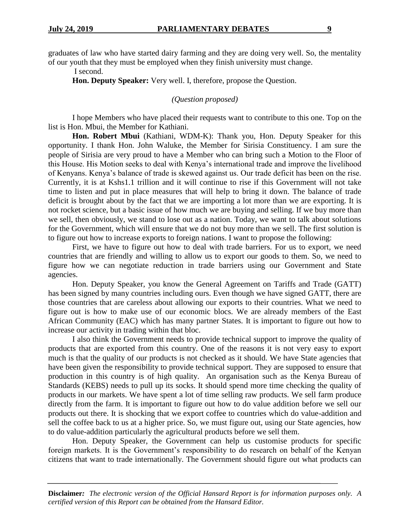graduates of law who have started dairy farming and they are doing very well. So, the mentality of our youth that they must be employed when they finish university must change.

I second.

**Hon. Deputy Speaker:** Very well. I, therefore, propose the Question.

*(Question proposed)*

I hope Members who have placed their requests want to contribute to this one. Top on the list is Hon. Mbui, the Member for Kathiani.

**Hon. Robert Mbui** (Kathiani, WDM-K): Thank you, Hon. Deputy Speaker for this opportunity. I thank Hon. John Waluke, the Member for Sirisia Constituency. I am sure the people of Sirisia are very proud to have a Member who can bring such a Motion to the Floor of this House. His Motion seeks to deal with Kenya's international trade and improve the livelihood of Kenyans. Kenya's balance of trade is skewed against us. Our trade deficit has been on the rise. Currently, it is at Kshs1.1 trillion and it will continue to rise if this Government will not take time to listen and put in place measures that will help to bring it down. The balance of trade deficit is brought about by the fact that we are importing a lot more than we are exporting. It is not rocket science, but a basic issue of how much we are buying and selling. If we buy more than we sell, then obviously, we stand to lose out as a nation. Today, we want to talk about solutions for the Government, which will ensure that we do not buy more than we sell. The first solution is to figure out how to increase exports to foreign nations. I want to propose the following:

First, we have to figure out how to deal with trade barriers. For us to export, we need countries that are friendly and willing to allow us to export our goods to them. So, we need to figure how we can negotiate reduction in trade barriers using our Government and State agencies.

Hon. Deputy Speaker, you know the General Agreement on Tariffs and Trade (GATT) has been signed by many countries including ours. Even though we have signed GATT, there are those countries that are careless about allowing our exports to their countries. What we need to figure out is how to make use of our economic blocs. We are already members of the East African Community (EAC) which has many partner States. It is important to figure out how to increase our activity in trading within that bloc.

I also think the Government needs to provide technical support to improve the quality of products that are exported from this country. One of the reasons it is not very easy to export much is that the quality of our products is not checked as it should. We have State agencies that have been given the responsibility to provide technical support. They are supposed to ensure that production in this country is of high quality. An organisation such as the Kenya Bureau of Standards (KEBS) needs to pull up its socks. It should spend more time checking the quality of products in our markets. We have spent a lot of time selling raw products. We sell farm produce directly from the farm. It is important to figure out how to do value addition before we sell our products out there. It is shocking that we export coffee to countries which do value-addition and sell the coffee back to us at a higher price. So, we must figure out, using our State agencies, how to do value-addition particularly the agricultural products before we sell them.

Hon. Deputy Speaker, the Government can help us customise products for specific foreign markets. It is the Government's responsibility to do research on behalf of the Kenyan citizens that want to trade internationally. The Government should figure out what products can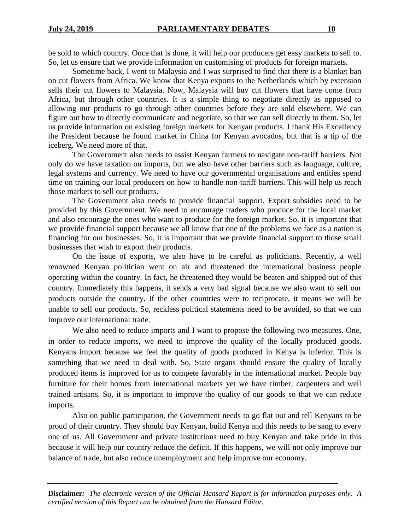be sold to which country. Once that is done, it will help our producers get easy markets to sell to. So, let us ensure that we provide information on customising of products for foreign markets.

Sometime back, I went to Malaysia and I was surprised to find that there is a blanket ban on cut flowers from Africa. We know that Kenya exports to the Netherlands which by extension sells their cut flowers to Malaysia. Now, Malaysia will buy cut flowers that have come from Africa, but through other countries. It is a simple thing to negotiate directly as opposed to allowing our products to go through other countries before they are sold elsewhere. We can figure out how to directly communicate and negotiate, so that we can sell directly to them. So, let us provide information on existing foreign markets for Kenyan products. I thank His Excellency the President because he found market in China for Kenyan avocados, but that is a tip of the iceberg. We need more of that.

The Government also needs to assist Kenyan farmers to navigate non-tariff barriers. Not only do we have taxation on imports, but we also have other barriers such as language, culture, legal systems and currency. We need to have our governmental organisations and entities spend time on training our local producers on how to handle non-tariff barriers. This will help us reach those markets to sell our products.

The Government also needs to provide financial support. Export subsidies need to be provided by this Government. We need to encourage traders who produce for the local market and also encourage the ones who want to produce for the foreign market. So, it is important that we provide financial support because we all know that one of the problems we face as a nation is financing for our businesses. So, it is important that we provide financial support to those small businesses that wish to export their products.

On the issue of exports, we also have to be careful as politicians. Recently, a well renowned Kenyan politician went on air and threatened the international business people operating within the country. In fact, he threatened they would be beaten and shipped out of this country. Immediately this happens, it sends a very bad signal because we also want to sell our products outside the country. If the other countries were to reciprocate, it means we will be unable to sell our products. So, reckless political statements need to be avoided, so that we can improve our international trade.

We also need to reduce imports and I want to propose the following two measures. One, in order to reduce imports, we need to improve the quality of the locally produced goods. Kenyans import because we feel the quality of goods produced in Kenya is inferior. This is something that we need to deal with. So, State organs should ensure the quality of locally produced items is improved for us to compete favorably in the international market. People buy furniture for their homes from international markets yet we have timber, carpenters and well trained artisans. So, it is important to improve the quality of our goods so that we can reduce imports.

Also on public participation, the Government needs to go flat out and tell Kenyans to be proud of their country. They should buy Kenyan, build Kenya and this needs to be sang to every one of us. All Government and private institutions need to buy Kenyan and take pride in this because it will help our country reduce the deficit. If this happens, we will not only improve our balance of trade, but also reduce unemployment and help improve our economy.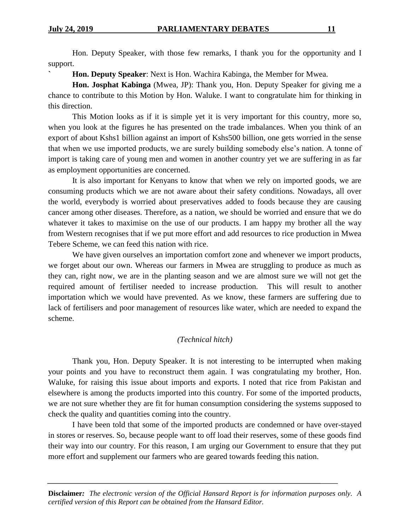Hon. Deputy Speaker, with those few remarks, I thank you for the opportunity and I support.

**` Hon. Deputy Speaker**: Next is Hon. Wachira Kabinga, the Member for Mwea.

**Hon. Josphat Kabinga** (Mwea, JP): Thank you, Hon. Deputy Speaker for giving me a chance to contribute to this Motion by Hon. Waluke. I want to congratulate him for thinking in this direction.

This Motion looks as if it is simple yet it is very important for this country, more so, when you look at the figures he has presented on the trade imbalances. When you think of an export of about Kshs1 billion against an import of Kshs500 billion, one gets worried in the sense that when we use imported products, we are surely building somebody else's nation. A tonne of import is taking care of young men and women in another country yet we are suffering in as far as employment opportunities are concerned.

It is also important for Kenyans to know that when we rely on imported goods, we are consuming products which we are not aware about their safety conditions. Nowadays, all over the world, everybody is worried about preservatives added to foods because they are causing cancer among other diseases. Therefore, as a nation, we should be worried and ensure that we do whatever it takes to maximise on the use of our products. I am happy my brother all the way from Western recognises that if we put more effort and add resources to rice production in Mwea Tebere Scheme, we can feed this nation with rice.

We have given ourselves an importation comfort zone and whenever we import products, we forget about our own. Whereas our farmers in Mwea are struggling to produce as much as they can, right now, we are in the planting season and we are almost sure we will not get the required amount of fertiliser needed to increase production. This will result to another importation which we would have prevented. As we know, these farmers are suffering due to lack of fertilisers and poor management of resources like water, which are needed to expand the scheme.

## *(Technical hitch)*

Thank you, Hon. Deputy Speaker. It is not interesting to be interrupted when making your points and you have to reconstruct them again. I was congratulating my brother, Hon. Waluke, for raising this issue about imports and exports. I noted that rice from Pakistan and elsewhere is among the products imported into this country. For some of the imported products, we are not sure whether they are fit for human consumption considering the systems supposed to check the quality and quantities coming into the country.

I have been told that some of the imported products are condemned or have over-stayed in stores or reserves. So, because people want to off load their reserves, some of these goods find their way into our country. For this reason, I am urging our Government to ensure that they put more effort and supplement our farmers who are geared towards feeding this nation.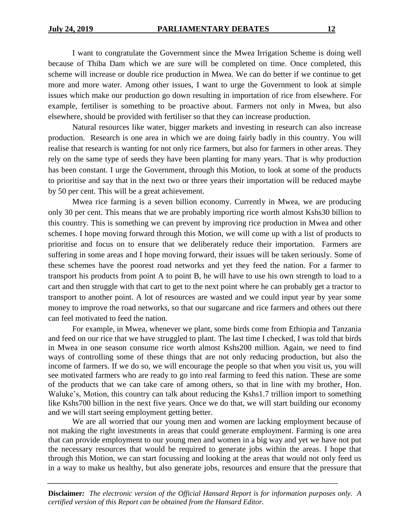I want to congratulate the Government since the Mwea Irrigation Scheme is doing well because of Thiba Dam which we are sure will be completed on time. Once completed, this scheme will increase or double rice production in Mwea. We can do better if we continue to get more and more water. Among other issues, I want to urge the Government to look at simple issues which make our production go down resulting in importation of rice from elsewhere. For example, fertiliser is something to be proactive about. Farmers not only in Mwea, but also elsewhere, should be provided with fertiliser so that they can increase production.

Natural resources like water, bigger markets and investing in research can also increase production. Research is one area in which we are doing fairly badly in this country. You will realise that research is wanting for not only rice farmers, but also for farmers in other areas. They rely on the same type of seeds they have been planting for many years. That is why production has been constant. I urge the Government, through this Motion, to look at some of the products to prioritise and say that in the next two or three years their importation will be reduced maybe by 50 per cent. This will be a great achievement.

Mwea rice farming is a seven billion economy. Currently in Mwea, we are producing only 30 per cent. This means that we are probably importing rice worth almost Kshs30 billion to this country. This is something we can prevent by improving rice production in Mwea and other schemes. I hope moving forward through this Motion, we will come up with a list of products to prioritise and focus on to ensure that we deliberately reduce their importation. Farmers are suffering in some areas and I hope moving forward, their issues will be taken seriously. Some of these schemes have the poorest road networks and yet they feed the nation. For a farmer to transport his products from point A to point B, he will have to use his own strength to load to a cart and then struggle with that cart to get to the next point where he can probably get a tractor to transport to another point. A lot of resources are wasted and we could input year by year some money to improve the road networks, so that our sugarcane and rice farmers and others out there can feel motivated to feed the nation.

For example, in Mwea, whenever we plant, some birds come from Ethiopia and Tanzania and feed on our rice that we have struggled to plant. The last time I checked, I was told that birds in Mwea in one season consume rice worth almost Kshs200 million. Again, we need to find ways of controlling some of these things that are not only reducing production, but also the income of farmers. If we do so, we will encourage the people so that when you visit us, you will see motivated farmers who are ready to go into real farming to feed this nation. These are some of the products that we can take care of among others, so that in line with my brother, Hon. Waluke's, Motion, this country can talk about reducing the Kshs1.7 trillion import to something like Kshs700 billion in the next five years. Once we do that, we will start building our economy and we will start seeing employment getting better.

We are all worried that our young men and women are lacking employment because of not making the right investments in areas that could generate employment. Farming is one area that can provide employment to our young men and women in a big way and yet we have not put the necessary resources that would be required to generate jobs within the areas. I hope that through this Motion, we can start focussing and looking at the areas that would not only feed us in a way to make us healthy, but also generate jobs, resources and ensure that the pressure that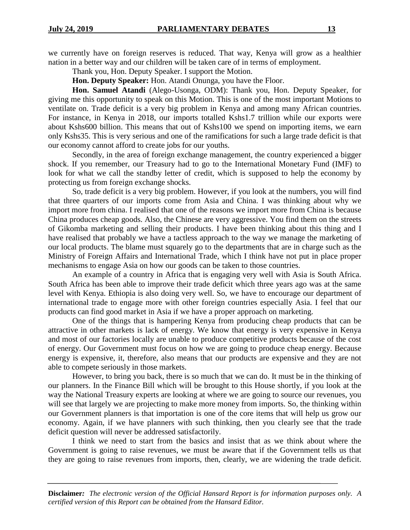we currently have on foreign reserves is reduced. That way, Kenya will grow as a healthier nation in a better way and our children will be taken care of in terms of employment.

Thank you, Hon. Deputy Speaker. I support the Motion.

**Hon. Deputy Speaker:** Hon. Atandi Onunga, you have the Floor.

**Hon. Samuel Atandi** (Alego-Usonga, ODM): Thank you, Hon. Deputy Speaker, for giving me this opportunity to speak on this Motion. This is one of the most important Motions to ventilate on. Trade deficit is a very big problem in Kenya and among many African countries. For instance, in Kenya in 2018, our imports totalled Kshs1.7 trillion while our exports were about Kshs600 billion. This means that out of Kshs100 we spend on importing items, we earn only Kshs35. This is very serious and one of the ramifications for such a large trade deficit is that our economy cannot afford to create jobs for our youths.

Secondly, in the area of foreign exchange management, the country experienced a bigger shock. If you remember, our Treasury had to go to the International Monetary Fund (IMF) to look for what we call the standby letter of credit, which is supposed to help the economy by protecting us from foreign exchange shocks.

So, trade deficit is a very big problem. However, if you look at the numbers, you will find that three quarters of our imports come from Asia and China. I was thinking about why we import more from china. I realised that one of the reasons we import more from China is because China produces cheap goods. Also, the Chinese are very aggressive. You find them on the streets of Gikomba marketing and selling their products. I have been thinking about this thing and I have realised that probably we have a tactless approach to the way we manage the marketing of our local products. The blame must squarely go to the departments that are in charge such as the Ministry of Foreign Affairs and International Trade, which I think have not put in place proper mechanisms to engage Asia on how our goods can be taken to those countries.

An example of a country in Africa that is engaging very well with Asia is South Africa. South Africa has been able to improve their trade deficit which three years ago was at the same level with Kenya. Ethiopia is also doing very well. So, we have to encourage our department of international trade to engage more with other foreign countries especially Asia. I feel that our products can find good market in Asia if we have a proper approach on marketing.

One of the things that is hampering Kenya from producing cheap products that can be attractive in other markets is lack of energy. We know that energy is very expensive in Kenya and most of our factories locally are unable to produce competitive products because of the cost of energy. Our Government must focus on how we are going to produce cheap energy. Because energy is expensive, it, therefore, also means that our products are expensive and they are not able to compete seriously in those markets.

However, to bring you back, there is so much that we can do. It must be in the thinking of our planners. In the Finance Bill which will be brought to this House shortly, if you look at the way the National Treasury experts are looking at where we are going to source our revenues, you will see that largely we are projecting to make more money from imports. So, the thinking within our Government planners is that importation is one of the core items that will help us grow our economy. Again, if we have planners with such thinking, then you clearly see that the trade deficit question will never be addressed satisfactorily.

I think we need to start from the basics and insist that as we think about where the Government is going to raise revenues, we must be aware that if the Government tells us that they are going to raise revenues from imports, then, clearly, we are widening the trade deficit.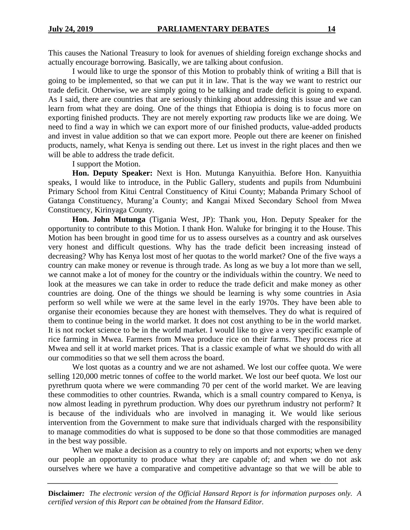This causes the National Treasury to look for avenues of shielding foreign exchange shocks and actually encourage borrowing. Basically, we are talking about confusion.

I would like to urge the sponsor of this Motion to probably think of writing a Bill that is going to be implemented, so that we can put it in law. That is the way we want to restrict our trade deficit. Otherwise, we are simply going to be talking and trade deficit is going to expand. As I said, there are countries that are seriously thinking about addressing this issue and we can learn from what they are doing. One of the things that Ethiopia is doing is to focus more on exporting finished products. They are not merely exporting raw products like we are doing. We need to find a way in which we can export more of our finished products, value-added products and invest in value addition so that we can export more. People out there are keener on finished products, namely, what Kenya is sending out there. Let us invest in the right places and then we will be able to address the trade deficit.

I support the Motion.

**Hon. Deputy Speaker:** Next is Hon. Mutunga Kanyuithia. Before Hon. Kanyuithia speaks, I would like to introduce, in the Public Gallery, students and pupils from Ndumbuini Primary School from Kitui Central Constituency of Kitui County; Mabanda Primary School of Gatanga Constituency, Murang'a County; and Kangai Mixed Secondary School from Mwea Constituency, Kirinyaga County.

**Hon. John Mutunga** (Tigania West, JP): Thank you, Hon. Deputy Speaker for the opportunity to contribute to this Motion. I thank Hon. Waluke for bringing it to the House. This Motion has been brought in good time for us to assess ourselves as a country and ask ourselves very honest and difficult questions. Why has the trade deficit been increasing instead of decreasing? Why has Kenya lost most of her quotas to the world market? One of the five ways a country can make money or revenue is through trade. As long as we buy a lot more than we sell, we cannot make a lot of money for the country or the individuals within the country. We need to look at the measures we can take in order to reduce the trade deficit and make money as other countries are doing. One of the things we should be learning is why some countries in Asia perform so well while we were at the same level in the early 1970s. They have been able to organise their economies because they are honest with themselves. They do what is required of them to continue being in the world market. It does not cost anything to be in the world market. It is not rocket science to be in the world market. I would like to give a very specific example of rice farming in Mwea. Farmers from Mwea produce rice on their farms. They process rice at Mwea and sell it at world market prices. That is a classic example of what we should do with all our commodities so that we sell them across the board.

We lost quotas as a country and we are not ashamed. We lost our coffee quota. We were selling 120,000 metric tonnes of coffee to the world market. We lost our beef quota. We lost our pyrethrum quota where we were commanding 70 per cent of the world market. We are leaving these commodities to other countries. Rwanda, which is a small country compared to Kenya, is now almost leading in pyrethrum production. Why does our pyrethrum industry not perform? It is because of the individuals who are involved in managing it. We would like serious intervention from the Government to make sure that individuals charged with the responsibility to manage commodities do what is supposed to be done so that those commodities are managed in the best way possible.

When we make a decision as a country to rely on imports and not exports; when we deny our people an opportunity to produce what they are capable of; and when we do not ask ourselves where we have a comparative and competitive advantage so that we will be able to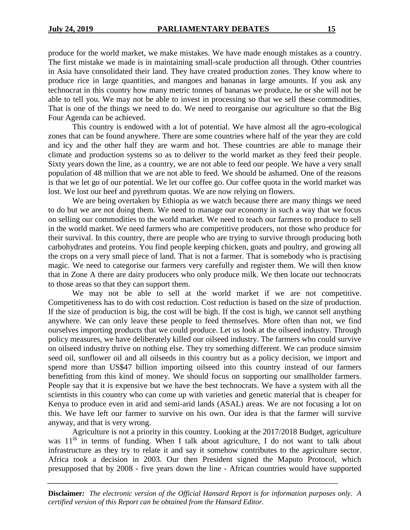produce for the world market, we make mistakes. We have made enough mistakes as a country. The first mistake we made is in maintaining small-scale production all through. Other countries in Asia have consolidated their land. They have created production zones. They know where to produce rice in large quantities, and mangoes and bananas in large amounts. If you ask any technocrat in this country how many metric tonnes of bananas we produce, he or she will not be able to tell you. We may not be able to invest in processing so that we sell these commodities. That is one of the things we need to do. We need to reorganise our agriculture so that the Big Four Agenda can be achieved.

This country is endowed with a lot of potential. We have almost all the agro-ecological zones that can be found anywhere. There are some countries where half of the year they are cold and icy and the other half they are warm and hot. These countries are able to manage their climate and production systems so as to deliver to the world market as they feed their people. Sixty years down the line, as a country, we are not able to feed our people. We have a very small population of 48 million that we are not able to feed. We should be ashamed. One of the reasons is that we let go of our potential. We let our coffee go. Our coffee quota in the world market was lost. We lost our beef and pyrethrum quotas. We are now relying on flowers.

We are being overtaken by Ethiopia as we watch because there are many things we need to do but we are not doing them. We need to manage our economy in such a way that we focus on selling our commodities to the world market. We need to teach our farmers to produce to sell in the world market. We need farmers who are competitive producers, not those who produce for their survival. In this country, there are people who are trying to survive through producing both carbohydrates and proteins. You find people keeping chicken, goats and poultry, and growing all the crops on a very small piece of land. That is not a farmer. That is somebody who is practising magic. We need to categorise our farmers very carefully and register them. We will then know that in Zone A there are dairy producers who only produce milk. We then locate our technocrats to those areas so that they can support them.

We may not be able to sell at the world market if we are not competitive. Competitiveness has to do with cost reduction. Cost reduction is based on the size of production. If the size of production is big, the cost will be high. If the cost is high, we cannot sell anything anywhere. We can only leave these people to feed themselves. More often than not, we find ourselves importing products that we could produce. Let us look at the oilseed industry. Through policy measures, we have deliberately killed our oilseed industry. The farmers who could survive on oilseed industry thrive on nothing else. They try something different. We can produce simsim seed oil, sunflower oil and all oilseeds in this country but as a policy decision, we import and spend more than US\$47 billion importing oilseed into this country instead of our farmers benefitting from this kind of money. We should focus on supporting our smallholder farmers. People say that it is expensive but we have the best technocrats. We have a system with all the scientists in this country who can come up with varieties and genetic material that is cheaper for Kenya to produce even in arid and semi-arid lands (ASAL) areas. We are not focusing a lot on this. We have left our farmer to survive on his own. Our idea is that the farmer will survive anyway, and that is very wrong.

Agriculture is not a priority in this country. Looking at the 2017/2018 Budget, agriculture was  $11<sup>th</sup>$  in terms of funding. When I talk about agriculture, I do not want to talk about infrastructure as they try to relate it and say it somehow contributes to the agriculture sector. Africa took a decision in 2003. Our then President signed the Maputo Protocol, which presupposed that by 2008 - five years down the line - African countries would have supported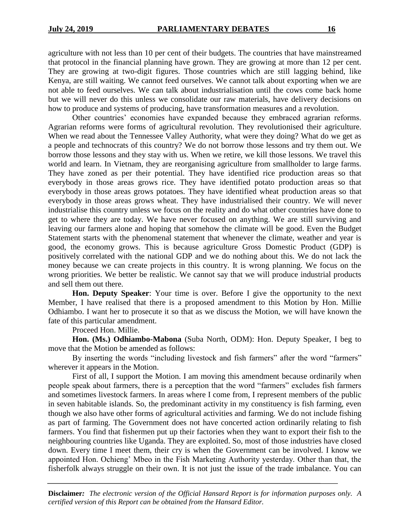agriculture with not less than 10 per cent of their budgets. The countries that have mainstreamed that protocol in the financial planning have grown. They are growing at more than 12 per cent. They are growing at two-digit figures. Those countries which are still lagging behind, like Kenya, are still waiting. We cannot feed ourselves. We cannot talk about exporting when we are not able to feed ourselves. We can talk about industrialisation until the cows come back home but we will never do this unless we consolidate our raw materials, have delivery decisions on how to produce and systems of producing, have transformation measures and a revolution.

Other countries' economies have expanded because they embraced agrarian reforms. Agrarian reforms were forms of agricultural revolution. They revolutionised their agriculture. When we read about the Tennessee Valley Authority, what were they doing? What do we get as a people and technocrats of this country? We do not borrow those lessons and try them out. We borrow those lessons and they stay with us. When we retire, we kill those lessons. We travel this world and learn. In Vietnam, they are reorganising agriculture from smallholder to large farms. They have zoned as per their potential. They have identified rice production areas so that everybody in those areas grows rice. They have identified potato production areas so that everybody in those areas grows potatoes. They have identified wheat production areas so that everybody in those areas grows wheat. They have industrialised their country. We will never industrialise this country unless we focus on the reality and do what other countries have done to get to where they are today. We have never focused on anything. We are still surviving and leaving our farmers alone and hoping that somehow the climate will be good. Even the Budget Statement starts with the phenomenal statement that whenever the climate, weather and year is good, the economy grows. This is because agriculture Gross Domestic Product (GDP) is positively correlated with the national GDP and we do nothing about this. We do not lack the money because we can create projects in this country. It is wrong planning. We focus on the wrong priorities. We better be realistic. We cannot say that we will produce industrial products and sell them out there.

**Hon. Deputy Speaker**: Your time is over. Before I give the opportunity to the next Member, I have realised that there is a proposed amendment to this Motion by Hon. Millie Odhiambo. I want her to prosecute it so that as we discuss the Motion, we will have known the fate of this particular amendment.

Proceed Hon. Millie.

**Hon. (Ms.) Odhiambo-Mabona** (Suba North, ODM): Hon. Deputy Speaker, I beg to move that the Motion be amended as follows:

By inserting the words "including livestock and fish farmers" after the word "farmers" wherever it appears in the Motion.

First of all, I support the Motion. I am moving this amendment because ordinarily when people speak about farmers, there is a perception that the word "farmers" excludes fish farmers and sometimes livestock farmers. In areas where I come from, I represent members of the public in seven habitable islands. So, the predominant activity in my constituency is fish farming, even though we also have other forms of agricultural activities and farming. We do not include fishing as part of farming. The Government does not have concerted action ordinarily relating to fish farmers. You find that fishermen put up their factories when they want to export their fish to the neighbouring countries like Uganda. They are exploited. So, most of those industries have closed down. Every time I meet them, their cry is when the Government can be involved. I know we appointed Hon. Ochieng' Mbeo in the Fish Marketing Authority yesterday. Other than that, the fisherfolk always struggle on their own. It is not just the issue of the trade imbalance. You can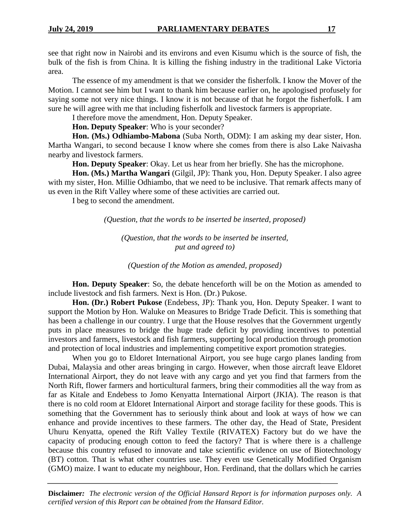see that right now in Nairobi and its environs and even Kisumu which is the source of fish, the bulk of the fish is from China. It is killing the fishing industry in the traditional Lake Victoria area.

The essence of my amendment is that we consider the fisherfolk. I know the Mover of the Motion. I cannot see him but I want to thank him because earlier on, he apologised profusely for saying some not very nice things. I know it is not because of that he forgot the fisherfolk. I am sure he will agree with me that including fisherfolk and livestock farmers is appropriate.

I therefore move the amendment, Hon. Deputy Speaker.

**Hon. Deputy Speaker**: Who is your seconder?

**Hon. (Ms.) Odhiambo-Mabona** (Suba North, ODM): I am asking my dear sister, Hon. Martha Wangari, to second because I know where she comes from there is also Lake Naivasha nearby and livestock farmers.

**Hon. Deputy Speaker**: Okay. Let us hear from her briefly. She has the microphone.

**Hon. (Ms.) Martha Wangari** (Gilgil, JP): Thank you, Hon. Deputy Speaker. I also agree with my sister, Hon. Millie Odhiambo, that we need to be inclusive. That remark affects many of us even in the Rift Valley where some of these activities are carried out.

I beg to second the amendment.

*(Question, that the words to be inserted be inserted, proposed)*

*(Question, that the words to be inserted be inserted, put and agreed to)*

*(Question of the Motion as amended, proposed)*

**Hon. Deputy Speaker**: So, the debate henceforth will be on the Motion as amended to include livestock and fish farmers. Next is Hon. (Dr.) Pukose.

**Hon. (Dr.) Robert Pukose** (Endebess, JP): Thank you, Hon. Deputy Speaker. I want to support the Motion by Hon. Waluke on Measures to Bridge Trade Deficit. This is something that has been a challenge in our country. I urge that the House resolves that the Government urgently puts in place measures to bridge the huge trade deficit by providing incentives to potential investors and farmers, livestock and fish farmers, supporting local production through promotion and protection of local industries and implementing competitive export promotion strategies.

When you go to Eldoret International Airport, you see huge cargo planes landing from Dubai, Malaysia and other areas bringing in cargo. However, when those aircraft leave Eldoret International Airport, they do not leave with any cargo and yet you find that farmers from the North Rift, flower farmers and horticultural farmers, bring their commodities all the way from as far as Kitale and Endebess to Jomo Kenyatta International Airport (JKIA). The reason is that there is no cold room at Eldoret International Airport and storage facility for these goods. This is something that the Government has to seriously think about and look at ways of how we can enhance and provide incentives to these farmers. The other day, the Head of State, President Uhuru Kenyatta, opened the Rift Valley Textile (RIVATEX) Factory but do we have the capacity of producing enough cotton to feed the factory? That is where there is a challenge because this country refused to innovate and take scientific evidence on use of Biotechnology (BT) cotton. That is what other countries use. They even use Genetically Modified Organism (GMO) maize. I want to educate my neighbour, Hon. Ferdinand, that the dollars which he carries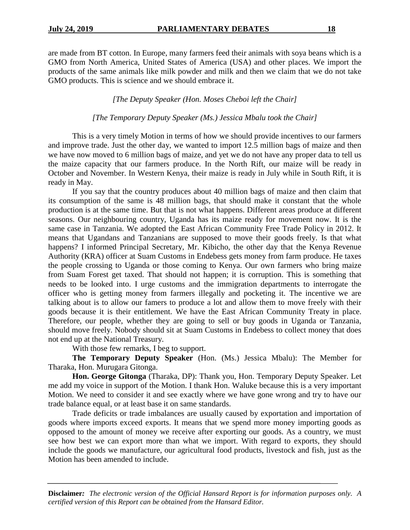are made from BT cotton. In Europe, many farmers feed their animals with soya beans which is a GMO from North America, United States of America (USA) and other places. We import the products of the same animals like milk powder and milk and then we claim that we do not take GMO products. This is science and we should embrace it.

*[The Deputy Speaker (Hon. Moses Cheboi left the Chair]*

## *[The Temporary Deputy Speaker (Ms.) Jessica Mbalu took the Chair]*

This is a very timely Motion in terms of how we should provide incentives to our farmers and improve trade. Just the other day, we wanted to import 12.5 million bags of maize and then we have now moved to 6 million bags of maize, and yet we do not have any proper data to tell us the maize capacity that our farmers produce. In the North Rift, our maize will be ready in October and November. In Western Kenya, their maize is ready in July while in South Rift, it is ready in May.

If you say that the country produces about 40 million bags of maize and then claim that its consumption of the same is 48 million bags, that should make it constant that the whole production is at the same time. But that is not what happens. Different areas produce at different seasons. Our neighbouring country, Uganda has its maize ready for movement now. It is the same case in Tanzania. We adopted the East African Community Free Trade Policy in 2012. It means that Ugandans and Tanzanians are supposed to move their goods freely. Is that what happens? I informed Principal Secretary, Mr. Kibicho, the other day that the Kenya Revenue Authority (KRA) officer at Suam Customs in Endebess gets money from farm produce. He taxes the people crossing to Uganda or those coming to Kenya. Our own farmers who bring maize from Suam Forest get taxed. That should not happen; it is corruption. This is something that needs to be looked into. I urge customs and the immigration departments to interrogate the officer who is getting money from farmers illegally and pocketing it. The incentive we are talking about is to allow our famers to produce a lot and allow them to move freely with their goods because it is their entitlement. We have the East African Community Treaty in place. Therefore, our people, whether they are going to sell or buy goods in Uganda or Tanzania, should move freely. Nobody should sit at Suam Customs in Endebess to collect money that does not end up at the National Treasury.

With those few remarks, I beg to support.

**The Temporary Deputy Speaker** (Hon. (Ms.) Jessica Mbalu): The Member for Tharaka, Hon. Murugara Gitonga.

**Hon. George Gitonga** (Tharaka, DP): Thank you, Hon. Temporary Deputy Speaker. Let me add my voice in support of the Motion. I thank Hon. Waluke because this is a very important Motion. We need to consider it and see exactly where we have gone wrong and try to have our trade balance equal, or at least base it on same standards.

Trade deficits or trade imbalances are usually caused by exportation and importation of goods where imports exceed exports. It means that we spend more money importing goods as opposed to the amount of money we receive after exporting our goods. As a country, we must see how best we can export more than what we import. With regard to exports, they should include the goods we manufacture, our agricultural food products, livestock and fish, just as the Motion has been amended to include.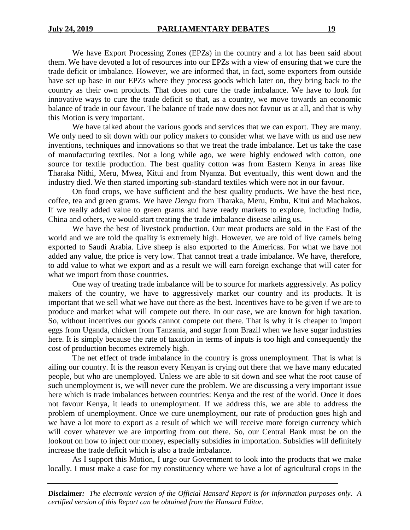We have Export Processing Zones (EPZs) in the country and a lot has been said about them. We have devoted a lot of resources into our EPZs with a view of ensuring that we cure the trade deficit or imbalance. However, we are informed that, in fact, some exporters from outside have set up base in our EPZs where they process goods which later on, they bring back to the country as their own products. That does not cure the trade imbalance. We have to look for innovative ways to cure the trade deficit so that, as a country, we move towards an economic balance of trade in our favour. The balance of trade now does not favour us at all, and that is why this Motion is very important.

We have talked about the various goods and services that we can export. They are many. We only need to sit down with our policy makers to consider what we have with us and use new inventions, techniques and innovations so that we treat the trade imbalance. Let us take the case of manufacturing textiles. Not a long while ago, we were highly endowed with cotton, one source for textile production. The best quality cotton was from Eastern Kenya in areas like Tharaka Nithi, Meru, Mwea, Kitui and from Nyanza. But eventually, this went down and the industry died. We then started importing sub-standard textiles which were not in our favour.

On food crops, we have sufficient and the best quality products. We have the best rice, coffee, tea and green grams. We have *Dengu* from Tharaka, Meru, Embu, Kitui and Machakos. If we really added value to green grams and have ready markets to explore, including India, China and others, we would start treating the trade imbalance disease ailing us.

We have the best of livestock production. Our meat products are sold in the East of the world and we are told the quality is extremely high. However, we are told of live camels being exported to Saudi Arabia. Live sheep is also exported to the Americas. For what we have not added any value, the price is very low. That cannot treat a trade imbalance. We have, therefore, to add value to what we export and as a result we will earn foreign exchange that will cater for what we import from those countries.

One way of treating trade imbalance will be to source for markets aggressively. As policy makers of the country, we have to aggressively market our country and its products. It is important that we sell what we have out there as the best. Incentives have to be given if we are to produce and market what will compete out there. In our case, we are known for high taxation. So, without incentives our goods cannot compete out there. That is why it is cheaper to import eggs from Uganda, chicken from Tanzania, and sugar from Brazil when we have sugar industries here. It is simply because the rate of taxation in terms of inputs is too high and consequently the cost of production becomes extremely high.

The net effect of trade imbalance in the country is gross unemployment. That is what is ailing our country. It is the reason every Kenyan is crying out there that we have many educated people, but who are unemployed. Unless we are able to sit down and see what the root cause of such unemployment is, we will never cure the problem. We are discussing a very important issue here which is trade imbalances between countries: Kenya and the rest of the world. Once it does not favour Kenya, it leads to unemployment. If we address this, we are able to address the problem of unemployment. Once we cure unemployment, our rate of production goes high and we have a lot more to export as a result of which we will receive more foreign currency which will cover whatever we are importing from out there. So, our Central Bank must be on the lookout on how to inject our money, especially subsidies in importation. Subsidies will definitely increase the trade deficit which is also a trade imbalance.

As I support this Motion, I urge our Government to look into the products that we make locally. I must make a case for my constituency where we have a lot of agricultural crops in the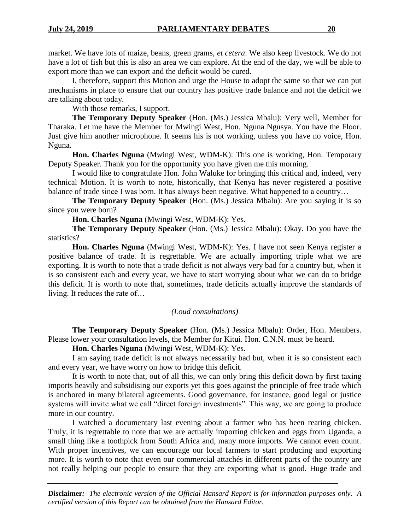market. We have lots of maize, beans, green grams, *et cetera*. We also keep livestock. We do not have a lot of fish but this is also an area we can explore. At the end of the day, we will be able to export more than we can export and the deficit would be cured.

I, therefore, support this Motion and urge the House to adopt the same so that we can put mechanisms in place to ensure that our country has positive trade balance and not the deficit we are talking about today.

With those remarks, I support.

**The Temporary Deputy Speaker** (Hon. (Ms.) Jessica Mbalu): Very well, Member for Tharaka. Let me have the Member for Mwingi West, Hon. Nguna Ngusya. You have the Floor. Just give him another microphone. It seems his is not working, unless you have no voice, Hon. Nguna.

**Hon. Charles Nguna** (Mwingi West, WDM-K): This one is working, Hon. Temporary Deputy Speaker. Thank you for the opportunity you have given me this morning.

I would like to congratulate Hon. John Waluke for bringing this critical and, indeed, very technical Motion. It is worth to note, historically, that Kenya has never registered a positive balance of trade since I was born. It has always been negative. What happened to a country...

**The Temporary Deputy Speaker** (Hon. (Ms.) Jessica Mbalu): Are you saying it is so since you were born?

**Hon. Charles Nguna** (Mwingi West, WDM-K): Yes.

**The Temporary Deputy Speaker** (Hon. (Ms.) Jessica Mbalu): Okay. Do you have the statistics?

**Hon. Charles Nguna** (Mwingi West, WDM-K): Yes. I have not seen Kenya register a positive balance of trade. It is regrettable. We are actually importing triple what we are exporting. It is worth to note that a trade deficit is not always very bad for a country but, when it is so consistent each and every year, we have to start worrying about what we can do to bridge this deficit. It is worth to note that, sometimes, trade deficits actually improve the standards of living. It reduces the rate of…

## *(Loud consultations)*

**The Temporary Deputy Speaker** (Hon. (Ms.) Jessica Mbalu): Order, Hon. Members. Please lower your consultation levels, the Member for Kitui. Hon. C.N.N. must be heard.

**Hon. Charles Nguna** (Mwingi West, WDM-K): Yes.

I am saying trade deficit is not always necessarily bad but, when it is so consistent each and every year, we have worry on how to bridge this deficit.

It is worth to note that, out of all this, we can only bring this deficit down by first taxing imports heavily and subsidising our exports yet this goes against the principle of free trade which is anchored in many bilateral agreements. Good governance, for instance, good legal or justice systems will invite what we call "direct foreign investments". This way, we are going to produce more in our country.

I watched a documentary last evening about a farmer who has been rearing chicken. Truly, it is regrettable to note that we are actually importing chicken and eggs from Uganda, a small thing like a toothpick from South Africa and, many more imports. We cannot even count. With proper incentives, we can encourage our local farmers to start producing and exporting more. It is worth to note that even our commercial attachés in different parts of the country are not really helping our people to ensure that they are exporting what is good. Huge trade and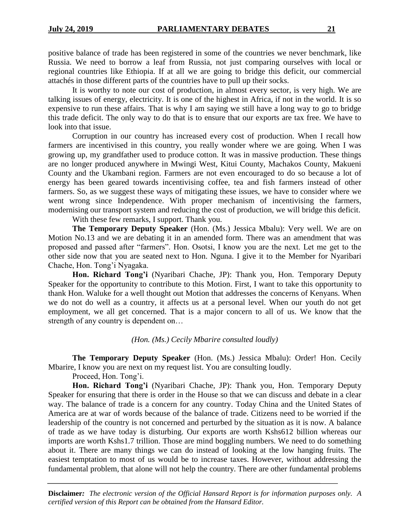positive balance of trade has been registered in some of the countries we never benchmark, like Russia. We need to borrow a leaf from Russia, not just comparing ourselves with local or regional countries like Ethiopia. If at all we are going to bridge this deficit, our commercial attachés in those different parts of the countries have to pull up their socks.

It is worthy to note our cost of production, in almost every sector, is very high. We are talking issues of energy, electricity. It is one of the highest in Africa, if not in the world. It is so expensive to run these affairs. That is why I am saying we still have a long way to go to bridge this trade deficit. The only way to do that is to ensure that our exports are tax free. We have to look into that issue.

Corruption in our country has increased every cost of production. When I recall how farmers are incentivised in this country, you really wonder where we are going. When I was growing up, my grandfather used to produce cotton. It was in massive production. These things are no longer produced anywhere in Mwingi West, Kitui County, Machakos County, Makueni County and the Ukambani region. Farmers are not even encouraged to do so because a lot of energy has been geared towards incentivising coffee, tea and fish farmers instead of other farmers. So, as we suggest these ways of mitigating these issues, we have to consider where we went wrong since Independence. With proper mechanism of incentivising the farmers, modernising our transport system and reducing the cost of production, we will bridge this deficit.

With these few remarks, I support. Thank you.

**The Temporary Deputy Speaker** (Hon. (Ms.) Jessica Mbalu): Very well. We are on Motion No.13 and we are debating it in an amended form. There was an amendment that was proposed and passed after "farmers". Hon. Osotsi, I know you are the next. Let me get to the other side now that you are seated next to Hon. Nguna. I give it to the Member for Nyaribari Chache, Hon. Tong'i Nyagaka.

**Hon. Richard Tong'i** (Nyaribari Chache, JP): Thank you, Hon. Temporary Deputy Speaker for the opportunity to contribute to this Motion. First, I want to take this opportunity to thank Hon. Waluke for a well thought out Motion that addresses the concerns of Kenyans. When we do not do well as a country, it affects us at a personal level. When our youth do not get employment, we all get concerned. That is a major concern to all of us. We know that the strength of any country is dependent on…

*(Hon. (Ms.) Cecily Mbarire consulted loudly)*

**The Temporary Deputy Speaker** (Hon. (Ms.) Jessica Mbalu): Order! Hon. Cecily Mbarire, I know you are next on my request list. You are consulting loudly.

Proceed, Hon. Tong'i.

**Hon. Richard Tong'i** (Nyaribari Chache, JP): Thank you, Hon. Temporary Deputy Speaker for ensuring that there is order in the House so that we can discuss and debate in a clear way. The balance of trade is a concern for any country. Today China and the United States of America are at war of words because of the balance of trade. Citizens need to be worried if the leadership of the country is not concerned and perturbed by the situation as it is now. A balance of trade as we have today is disturbing. Our exports are worth Kshs612 billion whereas our imports are worth Kshs1.7 trillion. Those are mind boggling numbers. We need to do something about it. There are many things we can do instead of looking at the low hanging fruits. The easiest temptation to most of us would be to increase taxes. However, without addressing the fundamental problem, that alone will not help the country. There are other fundamental problems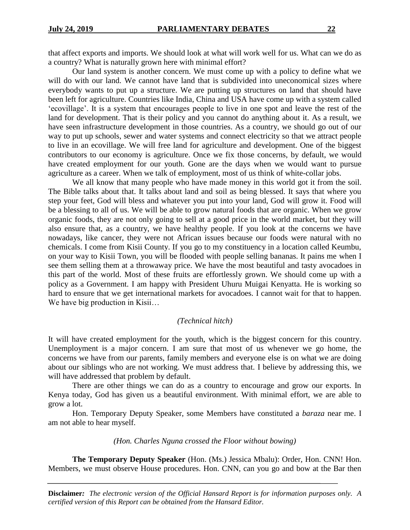that affect exports and imports. We should look at what will work well for us. What can we do as a country? What is naturally grown here with minimal effort?

Our land system is another concern. We must come up with a policy to define what we will do with our land. We cannot have land that is subdivided into uneconomical sizes where everybody wants to put up a structure. We are putting up structures on land that should have been left for agriculture. Countries like India, China and USA have come up with a system called 'ecovillage'. It is a system that encourages people to live in one spot and leave the rest of the land for development. That is their policy and you cannot do anything about it. As a result, we have seen infrastructure development in those countries. As a country, we should go out of our way to put up schools, sewer and water systems and connect electricity so that we attract people to live in an ecovillage. We will free land for agriculture and development. One of the biggest contributors to our economy is agriculture. Once we fix those concerns, by default, we would have created employment for our youth. Gone are the days when we would want to pursue agriculture as a career. When we talk of employment, most of us think of white-collar jobs.

We all know that many people who have made money in this world got it from the soil. The Bible talks about that. It talks about land and soil as being blessed. It says that where you step your feet, God will bless and whatever you put into your land, God will grow it. Food will be a blessing to all of us. We will be able to grow natural foods that are organic. When we grow organic foods, they are not only going to sell at a good price in the world market, but they will also ensure that, as a country, we have healthy people. If you look at the concerns we have nowadays, like cancer, they were not African issues because our foods were natural with no chemicals. I come from Kisii County. If you go to my constituency in a location called Keumbu, on your way to Kisii Town, you will be flooded with people selling bananas. It pains me when I see them selling them at a throwaway price. We have the most beautiful and tasty avocadoes in this part of the world. Most of these fruits are effortlessly grown. We should come up with a policy as a Government. I am happy with President Uhuru Muigai Kenyatta. He is working so hard to ensure that we get international markets for avocadoes. I cannot wait for that to happen. We have big production in Kisii...

#### *(Technical hitch)*

It will have created employment for the youth, which is the biggest concern for this country. Unemployment is a major concern. I am sure that most of us whenever we go home, the concerns we have from our parents, family members and everyone else is on what we are doing about our siblings who are not working. We must address that. I believe by addressing this, we will have addressed that problem by default.

There are other things we can do as a country to encourage and grow our exports. In Kenya today, God has given us a beautiful environment. With minimal effort, we are able to grow a lot.

Hon. Temporary Deputy Speaker, some Members have constituted a *baraza* near me. I am not able to hear myself.

#### *(Hon. Charles Nguna crossed the Floor without bowing)*

**The Temporary Deputy Speaker** (Hon. (Ms.) Jessica Mbalu): Order, Hon. CNN! Hon. Members, we must observe House procedures. Hon. CNN, can you go and bow at the Bar then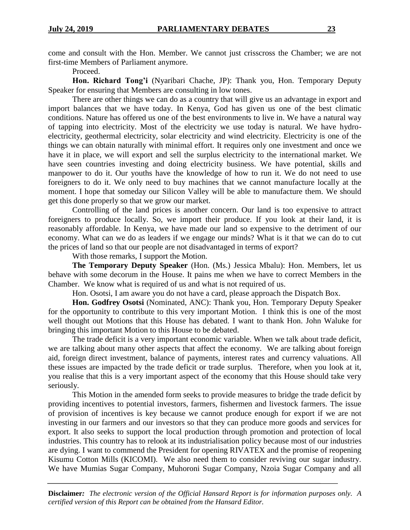come and consult with the Hon. Member. We cannot just crisscross the Chamber; we are not first-time Members of Parliament anymore.

Proceed.

**Hon. Richard Tong'i** (Nyaribari Chache, JP): Thank you, Hon. Temporary Deputy Speaker for ensuring that Members are consulting in low tones.

There are other things we can do as a country that will give us an advantage in export and import balances that we have today. In Kenya, God has given us one of the best climatic conditions. Nature has offered us one of the best environments to live in. We have a natural way of tapping into electricity. Most of the electricity we use today is natural. We have hydroelectricity, geothermal electricity, solar electricity and wind electricity. Electricity is one of the things we can obtain naturally with minimal effort. It requires only one investment and once we have it in place, we will export and sell the surplus electricity to the international market. We have seen countries investing and doing electricity business. We have potential, skills and manpower to do it. Our youths have the knowledge of how to run it. We do not need to use foreigners to do it. We only need to buy machines that we cannot manufacture locally at the moment. I hope that someday our Silicon Valley will be able to manufacture them. We should get this done properly so that we grow our market.

Controlling of the land prices is another concern. Our land is too expensive to attract foreigners to produce locally. So, we import their produce. If you look at their land, it is reasonably affordable. In Kenya, we have made our land so expensive to the detriment of our economy. What can we do as leaders if we engage our minds? What is it that we can do to cut the prices of land so that our people are not disadvantaged in terms of export?

With those remarks, I support the Motion.

**The Temporary Deputy Speaker** (Hon. (Ms.) Jessica Mbalu): Hon. Members, let us behave with some decorum in the House. It pains me when we have to correct Members in the Chamber. We know what is required of us and what is not required of us.

Hon. Osotsi, I am aware you do not have a card, please approach the Dispatch Box.

**Hon. Godfrey Osotsi** (Nominated, ANC): Thank you, Hon. Temporary Deputy Speaker for the opportunity to contribute to this very important Motion. I think this is one of the most well thought out Motions that this House has debated. I want to thank Hon. John Waluke for bringing this important Motion to this House to be debated.

The trade deficit is a very important economic variable. When we talk about trade deficit, we are talking about many other aspects that affect the economy. We are talking about foreign aid, foreign direct investment, balance of payments, interest rates and currency valuations. All these issues are impacted by the trade deficit or trade surplus. Therefore, when you look at it, you realise that this is a very important aspect of the economy that this House should take very seriously.

This Motion in the amended form seeks to provide measures to bridge the trade deficit by providing incentives to potential investors, farmers, fishermen and livestock farmers. The issue of provision of incentives is key because we cannot produce enough for export if we are not investing in our farmers and our investors so that they can produce more goods and services for export. It also seeks to support the local production through promotion and protection of local industries. This country has to relook at its industrialisation policy because most of our industries are dying. I want to commend the President for opening RIVATEX and the promise of reopening Kisumu Cotton Mills (KICOMI). We also need them to consider reviving our sugar industry. We have Mumias Sugar Company, Muhoroni Sugar Company, Nzoia Sugar Company and all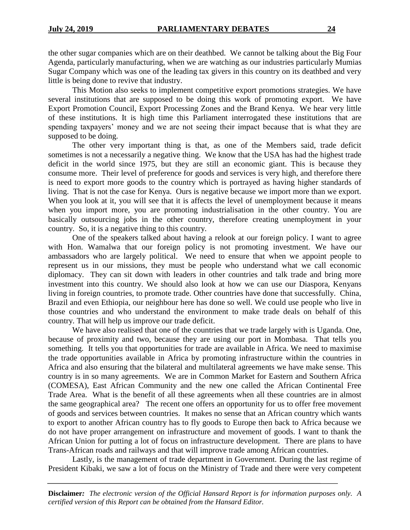the other sugar companies which are on their deathbed. We cannot be talking about the Big Four Agenda, particularly manufacturing, when we are watching as our industries particularly Mumias Sugar Company which was one of the leading tax givers in this country on its deathbed and very little is being done to revive that industry.

This Motion also seeks to implement competitive export promotions strategies. We have several institutions that are supposed to be doing this work of promoting export. We have Export Promotion Council, Export Processing Zones and the Brand Kenya. We hear very little of these institutions. It is high time this Parliament interrogated these institutions that are spending taxpayers' money and we are not seeing their impact because that is what they are supposed to be doing.

The other very important thing is that, as one of the Members said, trade deficit sometimes is not a necessarily a negative thing. We know that the USA has had the highest trade deficit in the world since 1975, but they are still an economic giant. This is because they consume more. Their level of preference for goods and services is very high, and therefore there is need to export more goods to the country which is portrayed as having higher standards of living. That is not the case for Kenya. Ours is negative because we import more than we export. When you look at it, you will see that it is affects the level of unemployment because it means when you import more, you are promoting industrialisation in the other country. You are basically outsourcing jobs in the other country, therefore creating unemployment in your country. So, it is a negative thing to this country.

One of the speakers talked about having a relook at our foreign policy. I want to agree with Hon. Wamalwa that our foreign policy is not promoting investment. We have our ambassadors who are largely political. We need to ensure that when we appoint people to represent us in our missions, they must be people who understand what we call economic diplomacy. They can sit down with leaders in other countries and talk trade and bring more investment into this country. We should also look at how we can use our Diaspora, Kenyans living in foreign countries, to promote trade. Other countries have done that successfully. China, Brazil and even Ethiopia, our neighbour here has done so well. We could use people who live in those countries and who understand the environment to make trade deals on behalf of this country. That will help us improve our trade deficit.

We have also realised that one of the countries that we trade largely with is Uganda. One, because of proximity and two, because they are using our port in Mombasa. That tells you something. It tells you that opportunities for trade are available in Africa. We need to maximise the trade opportunities available in Africa by promoting infrastructure within the countries in Africa and also ensuring that the bilateral and multilateral agreements we have make sense. This country is in so many agreements. We are in Common Market for Eastern and Southern Africa (COMESA), East African Community and the new one called the African Continental Free Trade Area. What is the benefit of all these agreements when all these countries are in almost the same geographical area? The recent one offers an opportunity for us to offer free movement of goods and services between countries. It makes no sense that an African country which wants to export to another African country has to fly goods to Europe then back to Africa because we do not have proper arrangement on infrastructure and movement of goods. I want to thank the African Union for putting a lot of focus on infrastructure development. There are plans to have Trans-African roads and railways and that will improve trade among African countries.

Lastly, is the management of trade department in Government. During the last regime of President Kibaki, we saw a lot of focus on the Ministry of Trade and there were very competent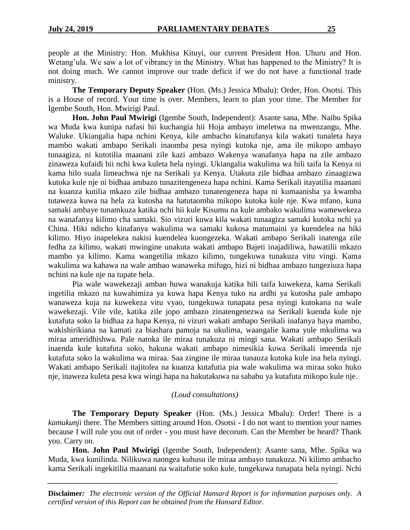people at the Ministry: Hon. Mukhisa Kituyi, our current President Hon. Uhuru and Hon. Wetang'ula. We saw a lot of vibrancy in the Ministry. What has happened to the Ministry? It is not doing much. We cannot improve our trade deficit if we do not have a functional trade ministry.

**The Temporary Deputy Speaker** (Hon. (Ms.) Jessica Mbalu): Order, Hon. Osotsi. This is a House of record. Your time is over. Members, learn to plan your time. The Member for Igembe South, Hon. Mwirigi Paul.

**Hon. John Paul Mwirigi** (Igembe South, Independent): Asante sana, Mhe. Naibu Spika wa Muda kwa kunipa nafasi hii kuchangia hii Hoja ambayo imeletwa na mwenzangu, Mhe. Waluke. Ukiangalia hapa nchini Kenya, kile ambacho kinatufanya kila wakati tunaleta haya mambo wakati ambapo Serikali inaomba pesa nyingi kutoka nje, ama ile mikopo ambayo tunaagiza, ni kutotilia maanani zile kazi ambazo Wakenya wanafanya hapa na zile ambazo zinaweza kufaidi hii nchi kwa kuleta hela nyingi. Ukiangalia wakulima wa hili taifa la Kenya ni kama hilo suala limeachwa nje na Serikali ya Kenya. Utakuta zile bidhaa ambazo zinaagizwa kutoka kule nje ni bidhaa ambazo tunazitengeneza hapa nchini. Kama Serikali itayatilia maanani na kuanza kutilia mkazo zile bidhaa ambazo tunatengeneza hapa ni kumaanisha ya kwamba tutaweza kuwa na hela za kutosha na hatutaomba mikopo kutoka kule nje. Kwa mfano, kuna samaki ambaye tunamkuza katika nchi hii kule Kisumu na kule ambako wakulima wamewekeza na wanafanya kilimo cha samaki. Sio vizuri kuwa kila wakati tunaagiza samaki kutoka nchi ya China. Hiki ndicho kinafanya wakulima wa samaki kukosa matumaini ya kuendelea na hiki kilimo. Hiyo inapelekea nakisi kuendelea kuongezeka. Wakati ambapo Serikali inatenga zile fedha za kilimo, wakati mwingine unakuta wakati ambapo Bajeti inajadiliwa, hawatilii mkazo mambo ya kilimo. Kama wangetilia mkazo kilimo, tungekuwa tunakuza vitu vingi. Kama wakulima wa kahawa na wale ambao wanaweka mifugo, hizi ni bidhaa ambazo tungeziuza hapa nchini na kule nje na tupate hela.

Pia wale wawekezaji ambao huwa wanakuja katika hili taifa kuwekeza, kama Serikali ingetilia mkazo na kuwahimiza ya kuwa hapa Kenya tuko na ardhi ya kutosha pale ambapo wanaweza kuja na kuwekeza vitu vyao, tungekuwa tunapata pesa nyingi kutokana na wale wawekezaji. Vile vile, katika zile jopo ambazo zinatengenezwa na Serikali kuenda kule nje kutafuta soko la bidhaa za hapa Kenya, ni vizuri wakati ambapo Serikali inafanya haya mambo, wakishirikiana na kamati za biashara pamoja na ukulima, waangalie kama yule mkulima wa miraa ameridhishwa. Pale natoka ile miraa tunakuza ni mingi sana. Wakati ambapo Serikali inaenda kule kutafuta soko, hakuna wakati ambapo nimesikia kuwa Serikali imeenda nje kutafuta soko la wakulima wa miraa. Saa zingine ile miraa tunauza kutoka kule ina hela nyingi. Wakati ambapo Serikali itajitolea na kuanza kutafutia pia wale wakulima wa miraa soko huko nje, inaweza kuleta pesa kwa wingi hapa na hakutakuwa na sababu ya kutafuta mikopo kule nje.

#### *(Loud consultations)*

**The Temporary Deputy Speaker** (Hon. (Ms.) Jessica Mbalu): Order! There is a *kamukunji* there. The Members sitting around Hon. Osotsi - I do not want to mention your names because I will rule you out of order - you must have decorum. Can the Member be heard? Thank you. Carry on.

**Hon. John Paul Mwirigi** (Igembe South, Independent): Asante sana, Mhe. Spika wa Muda, kwa kunilinda. Nilikuwa naongea kuhusu ile miraa ambayo tunakuza. Ni kilimo ambacho kama Serikali ingekitilia maanani na waitafutie soko kule, tungekuwa tunapata hela nyingi. Nchi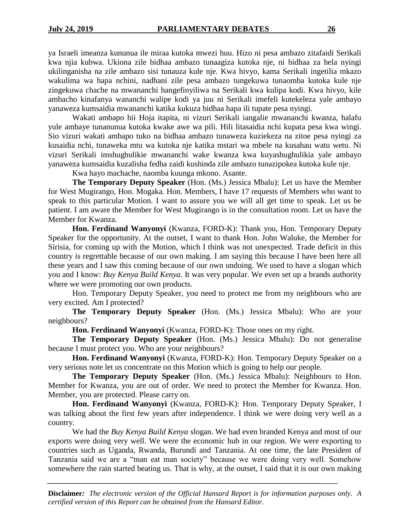ya Israeli imeanza kununua ile miraa kutoka mwezi huu. Hizo ni pesa ambazo zitafaidi Serikali kwa njia kubwa. Ukiona zile bidhaa ambazo tunaagiza kutoka nje, ni bidhaa za hela nyingi ukilinganisha na zile ambazo sisi tunauza kule nje. Kwa hivyo, kama Serikali ingetilia mkazo wakulima wa hapa nchini, nadhani zile pesa ambazo tungekuwa tunaomba kutoka kule nje zingekuwa chache na mwananchi hangefinyiliwa na Serikali kwa kulipa kodi. Kwa hivyo, kile ambacho kinafanya wananchi walipe kodi ya juu ni Serikali imefeli kutekeleza yale ambayo yanaweza kumsaidia mwananchi katika kukuza bidhaa hapa ili tupate pesa nyingi.

Wakati ambapo hii Hoja itapita, ni vizuri Serikali iangalie mwananchi kwanza, halafu yule ambaye tunanunua kutoka kwake awe wa pili. Hili litasaidia nchi kupata pesa kwa wingi. Sio vizuri wakati ambapo tuko na bidhaa ambazo tunaweza kuziekeza na zitoe pesa nyingi za kusaidia nchi, tunaweka mtu wa kutoka nje katika mstari wa mbele na kusahau watu wetu. Ni vizuri Serikali imshughulikie mwananchi wake kwanza kwa kuyashughulikia yale ambayo yanaweza kumsaidia kuzalisha fedha zaidi kushinda zile ambazo tunazipokea kutoka kule nje.

Kwa hayo machache, naomba kuunga mkono. Asante.

**The Temporary Deputy Speaker** (Hon. (Ms.) Jessica Mbalu): Let us have the Member for West Mugirango, Hon. Mogaka. Hon. Members, I have 17 requests of Members who want to speak to this particular Motion. I want to assure you we will all get time to speak. Let us be patient. I am aware the Member for West Mugirango is in the consultation room. Let us have the Member for Kwanza.

**Hon. Ferdinand Wanyonyi** (Kwanza, FORD-K): Thank you, Hon. Temporary Deputy Speaker for the opportunity. At the outset, I want to thank Hon. John Waluke, the Member for Sirisia, for coming up with the Motion, which I think was not unexpected. Trade deficit in this country is regrettable because of our own making. I am saying this because I have been here all these years and I saw this coming because of our own undoing. We used to have a slogan which you and I know: *Buy Kenya Build Kenya*. It was very popular. We even set up a brands authority where we were promoting our own products.

Hon. Temporary Deputy Speaker, you need to protect me from my neighbours who are very excited. Am I protected?

**The Temporary Deputy Speaker** (Hon. (Ms.) Jessica Mbalu): Who are your neighbours?

**Hon. Ferdinand Wanyonyi** (Kwanza, FORD-K): Those ones on my right.

**The Temporary Deputy Speaker** (Hon. (Ms.) Jessica Mbalu): Do not generalise because I must protect you. Who are your neighbours?

**Hon. Ferdinand Wanyonyi** (Kwanza, FORD-K): Hon. Temporary Deputy Speaker on a very serious note let us concentrate on this Motion which is going to help our people.

**The Temporary Deputy Speaker** (Hon. (Ms.) Jessica Mbalu): Neighbours to Hon. Member for Kwanza, you are out of order. We need to protect the Member for Kwanza. Hon. Member, you are protected. Please carry on.

**Hon. Ferdinand Wanyonyi** (Kwanza, FORD-K): Hon. Temporary Deputy Speaker, I was talking about the first few years after independence. I think we were doing very well as a country.

We had the *Buy Kenya Build Kenya* slogan. We had even branded Kenya and most of our exports were doing very well. We were the economic hub in our region. We were exporting to countries such as Uganda, Rwanda, Burundi and Tanzania. At one time, the late President of Tanzania said we are a "man eat man society" because we were doing very well. Somehow somewhere the rain started beating us. That is why, at the outset, I said that it is our own making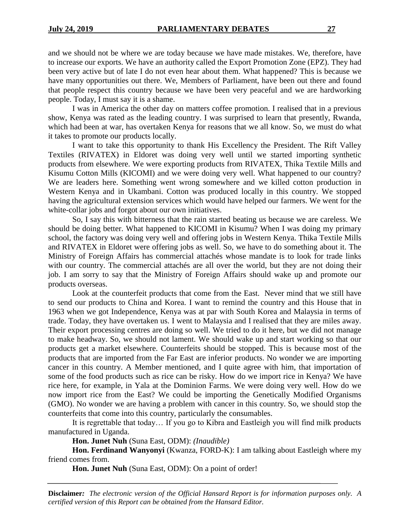and we should not be where we are today because we have made mistakes. We, therefore, have to increase our exports. We have an authority called the Export Promotion Zone (EPZ). They had been very active but of late I do not even hear about them. What happened? This is because we have many opportunities out there. We, Members of Parliament, have been out there and found that people respect this country because we have been very peaceful and we are hardworking people. Today, I must say it is a shame.

I was in America the other day on matters coffee promotion. I realised that in a previous show, Kenya was rated as the leading country. I was surprised to learn that presently, Rwanda, which had been at war, has overtaken Kenya for reasons that we all know. So, we must do what it takes to promote our products locally.

I want to take this opportunity to thank His Excellency the President. The Rift Valley Textiles (RIVATEX) in Eldoret was doing very well until we started importing synthetic products from elsewhere. We were exporting products from RIVATEX, Thika Textile Mills and Kisumu Cotton Mills (KICOMI) and we were doing very well. What happened to our country? We are leaders here. Something went wrong somewhere and we killed cotton production in Western Kenya and in Ukambani. Cotton was produced locally in this country. We stopped having the agricultural extension services which would have helped our farmers. We went for the white-collar jobs and forgot about our own initiatives.

So, I say this with bitterness that the rain started beating us because we are careless. We should be doing better. What happened to KICOMI in Kisumu? When I was doing my primary school, the factory was doing very well and offering jobs in Western Kenya. Thika Textile Mills and RIVATEX in Eldoret were offering jobs as well. So, we have to do something about it. The Ministry of Foreign Affairs has commercial attachés whose mandate is to look for trade links with our country. The commercial attachés are all over the world, but they are not doing their job. I am sorry to say that the Ministry of Foreign Affairs should wake up and promote our products overseas.

Look at the counterfeit products that come from the East. Never mind that we still have to send our products to China and Korea. I want to remind the country and this House that in 1963 when we got Independence, Kenya was at par with South Korea and Malaysia in terms of trade. Today, they have overtaken us. I went to Malaysia and I realised that they are miles away. Their export processing centres are doing so well. We tried to do it here, but we did not manage to make headway. So, we should not lament. We should wake up and start working so that our products get a market elsewhere. Counterfeits should be stopped. This is because most of the products that are imported from the Far East are inferior products. No wonder we are importing cancer in this country. A Member mentioned, and I quite agree with him, that importation of some of the food products such as rice can be risky. How do we import rice in Kenya? We have rice here, for example, in Yala at the Dominion Farms. We were doing very well. How do we now import rice from the East? We could be importing the Genetically Modified Organisms (GMO). No wonder we are having a problem with cancer in this country. So, we should stop the counterfeits that come into this country, particularly the consumables.

It is regrettable that today… If you go to Kibra and Eastleigh you will find milk products manufactured in Uganda.

**Hon. Junet Nuh** (Suna East, ODM): *(Inaudible)*

**Hon. Ferdinand Wanyonyi** (Kwanza, FORD-K): I am talking about Eastleigh where my friend comes from.

**Hon. Junet Nuh** (Suna East, ODM): On a point of order!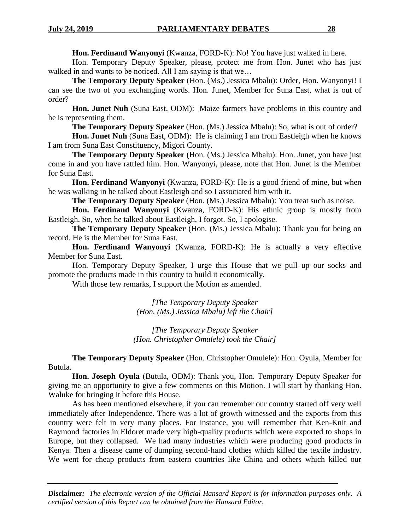**Hon. Ferdinand Wanyonyi** (Kwanza, FORD-K): No! You have just walked in here.

Hon. Temporary Deputy Speaker, please, protect me from Hon. Junet who has just walked in and wants to be noticed. All I am saying is that we…

**The Temporary Deputy Speaker** (Hon. (Ms.) Jessica Mbalu): Order, Hon. Wanyonyi! I can see the two of you exchanging words. Hon. Junet, Member for Suna East, what is out of order?

**Hon. Junet Nuh** (Suna East, ODM): Maize farmers have problems in this country and he is representing them.

**The Temporary Deputy Speaker** (Hon. (Ms.) Jessica Mbalu): So, what is out of order?

**Hon. Junet Nuh** (Suna East, ODM): He is claiming I am from Eastleigh when he knows I am from Suna East Constituency, Migori County.

**The Temporary Deputy Speaker** (Hon. (Ms.) Jessica Mbalu): Hon. Junet, you have just come in and you have rattled him. Hon. Wanyonyi, please, note that Hon. Junet is the Member for Suna East.

**Hon. Ferdinand Wanyonyi** (Kwanza, FORD-K): He is a good friend of mine, but when he was walking in he talked about Eastleigh and so I associated him with it.

**The Temporary Deputy Speaker** (Hon. (Ms.) Jessica Mbalu): You treat such as noise.

**Hon. Ferdinand Wanyonyi** (Kwanza, FORD-K): His ethnic group is mostly from Eastleigh. So, when he talked about Eastleigh, I forgot. So, I apologise.

**The Temporary Deputy Speaker** (Hon. (Ms.) Jessica Mbalu): Thank you for being on record. He is the Member for Suna East.

**Hon. Ferdinand Wanyonyi** (Kwanza, FORD-K): He is actually a very effective Member for Suna East.

Hon. Temporary Deputy Speaker, I urge this House that we pull up our socks and promote the products made in this country to build it economically.

With those few remarks, I support the Motion as amended.

*[The Temporary Deputy Speaker (Hon. (Ms.) Jessica Mbalu) left the Chair]*

*[The Temporary Deputy Speaker (Hon. Christopher Omulele) took the Chair]*

**The Temporary Deputy Speaker** (Hon. Christopher Omulele): Hon. Oyula, Member for Butula.

**Hon. Joseph Oyula** (Butula, ODM): Thank you, Hon. Temporary Deputy Speaker for giving me an opportunity to give a few comments on this Motion. I will start by thanking Hon. Waluke for bringing it before this House.

As has been mentioned elsewhere, if you can remember our country started off very well immediately after Independence. There was a lot of growth witnessed and the exports from this country were felt in very many places. For instance, you will remember that Ken-Knit and Raymond factories in Eldoret made very high-quality products which were exported to shops in Europe, but they collapsed. We had many industries which were producing good products in Kenya. Then a disease came of dumping second-hand clothes which killed the textile industry. We went for cheap products from eastern countries like China and others which killed our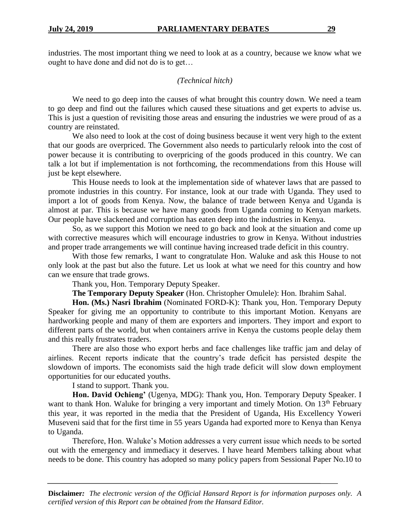industries. The most important thing we need to look at as a country, because we know what we ought to have done and did not do is to get…

#### *(Technical hitch)*

We need to go deep into the causes of what brought this country down. We need a team to go deep and find out the failures which caused these situations and get experts to advise us. This is just a question of revisiting those areas and ensuring the industries we were proud of as a country are reinstated.

We also need to look at the cost of doing business because it went very high to the extent that our goods are overpriced. The Government also needs to particularly relook into the cost of power because it is contributing to overpricing of the goods produced in this country. We can talk a lot but if implementation is not forthcoming, the recommendations from this House will just be kept elsewhere.

This House needs to look at the implementation side of whatever laws that are passed to promote industries in this country. For instance, look at our trade with Uganda. They used to import a lot of goods from Kenya. Now, the balance of trade between Kenya and Uganda is almost at par. This is because we have many goods from Uganda coming to Kenyan markets. Our people have slackened and corruption has eaten deep into the industries in Kenya.

So, as we support this Motion we need to go back and look at the situation and come up with corrective measures which will encourage industries to grow in Kenya. Without industries and proper trade arrangements we will continue having increased trade deficit in this country.

With those few remarks, I want to congratulate Hon. Waluke and ask this House to not only look at the past but also the future. Let us look at what we need for this country and how can we ensure that trade grows.

Thank you, Hon. Temporary Deputy Speaker.

**The Temporary Deputy Speaker** (Hon. Christopher Omulele): Hon. Ibrahim Sahal.

**Hon. (Ms.) Nasri Ibrahim** (Nominated FORD-K): Thank you, Hon. Temporary Deputy Speaker for giving me an opportunity to contribute to this important Motion. Kenyans are hardworking people and many of them are exporters and importers. They import and export to different parts of the world, but when containers arrive in Kenya the customs people delay them and this really frustrates traders.

There are also those who export herbs and face challenges like traffic jam and delay of airlines. Recent reports indicate that the country's trade deficit has persisted despite the slowdown of imports. The economists said the high trade deficit will slow down employment opportunities for our educated youths.

I stand to support. Thank you.

**Hon. David Ochieng'** (Ugenya, MDG): Thank you, Hon. Temporary Deputy Speaker. I want to thank Hon. Waluke for bringing a very important and timely Motion. On  $13<sup>th</sup>$  February this year, it was reported in the media that the President of Uganda, His Excellency Yoweri Museveni said that for the first time in 55 years Uganda had exported more to Kenya than Kenya to Uganda.

Therefore, Hon. Waluke's Motion addresses a very current issue which needs to be sorted out with the emergency and immediacy it deserves. I have heard Members talking about what needs to be done. This country has adopted so many policy papers from Sessional Paper No.10 to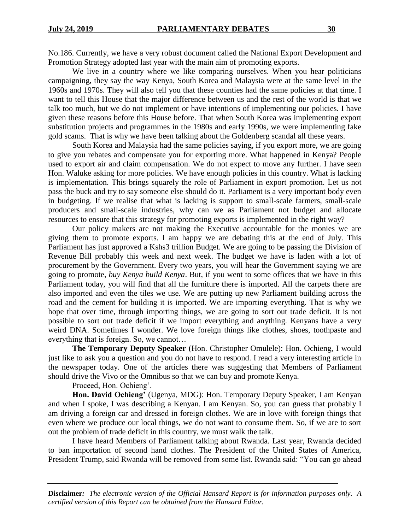No.186. Currently, we have a very robust document called the National Export Development and Promotion Strategy adopted last year with the main aim of promoting exports.

We live in a country where we like comparing ourselves. When you hear politicians campaigning, they say the way Kenya, South Korea and Malaysia were at the same level in the 1960s and 1970s. They will also tell you that these counties had the same policies at that time. I want to tell this House that the major difference between us and the rest of the world is that we talk too much, but we do not implement or have intentions of implementing our policies. I have given these reasons before this House before. That when South Korea was implementing export substitution projects and programmes in the 1980s and early 1990s, we were implementing fake gold scams. That is why we have been talking about the Goldenberg scandal all these years.

South Korea and Malaysia had the same policies saying, if you export more, we are going to give you rebates and compensate you for exporting more. What happened in Kenya? People used to export air and claim compensation. We do not expect to move any further. I have seen Hon. Waluke asking for more policies. We have enough policies in this country. What is lacking is implementation. This brings squarely the role of Parliament in export promotion. Let us not pass the buck and try to say someone else should do it. Parliament is a very important body even in budgeting. If we realise that what is lacking is support to small-scale farmers, small-scale producers and small-scale industries, why can we as Parliament not budget and allocate resources to ensure that this strategy for promoting exports is implemented in the right way?

Our policy makers are not making the Executive accountable for the monies we are giving them to promote exports. I am happy we are debating this at the end of July. This Parliament has just approved a Kshs3 trillion Budget. We are going to be passing the Division of Revenue Bill probably this week and next week. The budget we have is laden with a lot of procurement by the Government. Every two years, you will hear the Government saying we are going to promote, *buy Kenya build Kenya*. But, if you went to some offices that we have in this Parliament today, you will find that all the furniture there is imported. All the carpets there are also imported and even the tiles we use. We are putting up new Parliament building across the road and the cement for building it is imported. We are importing everything. That is why we hope that over time, through importing things, we are going to sort out trade deficit. It is not possible to sort out trade deficit if we import everything and anything. Kenyans have a very weird DNA. Sometimes I wonder. We love foreign things like clothes, shoes, toothpaste and everything that is foreign. So, we cannot…

**The Temporary Deputy Speaker** (Hon. Christopher Omulele): Hon. Ochieng, I would just like to ask you a question and you do not have to respond. I read a very interesting article in the newspaper today. One of the articles there was suggesting that Members of Parliament should drive the Vivo or the Omnibus so that we can buy and promote Kenya.

Proceed, Hon. Ochieng'.

**Hon. David Ochieng'** (Ugenya, MDG): Hon. Temporary Deputy Speaker, I am Kenyan and when I spoke, I was describing a Kenyan. I am Kenyan. So, you can guess that probably I am driving a foreign car and dressed in foreign clothes. We are in love with foreign things that even where we produce our local things, we do not want to consume them. So, if we are to sort out the problem of trade deficit in this country, we must walk the talk.

I have heard Members of Parliament talking about Rwanda. Last year, Rwanda decided to ban importation of second hand clothes. The President of the United States of America, President Trump, said Rwanda will be removed from some list. Rwanda said: "You can go ahead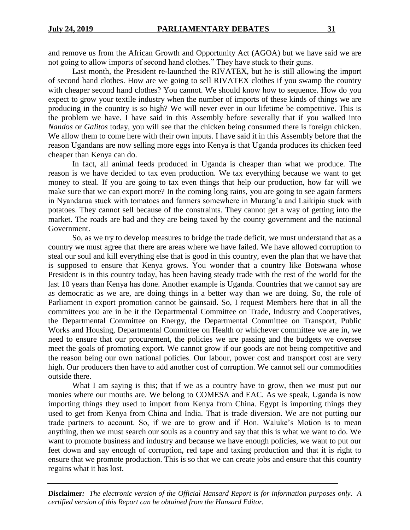and remove us from the African Growth and Opportunity Act (AGOA) but we have said we are not going to allow imports of second hand clothes." They have stuck to their guns.

Last month, the President re-launched the RIVATEX, but he is still allowing the import of second hand clothes. How are we going to sell RIVATEX clothes if you swamp the country with cheaper second hand clothes? You cannot. We should know how to sequence. How do you expect to grow your textile industry when the number of imports of these kinds of things we are producing in the country is so high? We will never ever in our lifetime be competitive. This is the problem we have. I have said in this Assembly before severally that if you walked into *Nandos* or *Galitos* today, you will see that the chicken being consumed there is foreign chicken. We allow them to come here with their own inputs. I have said it in this Assembly before that the reason Ugandans are now selling more eggs into Kenya is that Uganda produces its chicken feed cheaper than Kenya can do.

In fact, all animal feeds produced in Uganda is cheaper than what we produce. The reason is we have decided to tax even production. We tax everything because we want to get money to steal. If you are going to tax even things that help our production, how far will we make sure that we can export more? In the coming long rains, you are going to see again farmers in Nyandarua stuck with tomatoes and farmers somewhere in Murang'a and Laikipia stuck with potatoes. They cannot sell because of the constraints. They cannot get a way of getting into the market. The roads are bad and they are being taxed by the county government and the national Government.

So, as we try to develop measures to bridge the trade deficit, we must understand that as a country we must agree that there are areas where we have failed. We have allowed corruption to steal our soul and kill everything else that is good in this country, even the plan that we have that is supposed to ensure that Kenya grows. You wonder that a country like Botswana whose President is in this country today, has been having steady trade with the rest of the world for the last 10 years than Kenya has done. Another example is Uganda. Countries that we cannot say are as democratic as we are, are doing things in a better way than we are doing. So, the role of Parliament in export promotion cannot be gainsaid. So, I request Members here that in all the committees you are in be it the Departmental Committee on Trade, Industry and Cooperatives, the Departmental Committee on Energy, the Departmental Committee on Transport, Public Works and Housing, Departmental Committee on Health or whichever committee we are in, we need to ensure that our procurement, the policies we are passing and the budgets we oversee meet the goals of promoting export. We cannot grow if our goods are not being competitive and the reason being our own national policies. Our labour, power cost and transport cost are very high. Our producers then have to add another cost of corruption. We cannot sell our commodities outside there.

What I am saying is this; that if we as a country have to grow, then we must put our monies where our mouths are. We belong to COMESA and EAC. As we speak, Uganda is now importing things they used to import from Kenya from China. Egypt is importing things they used to get from Kenya from China and India. That is trade diversion. We are not putting our trade partners to account. So, if we are to grow and if Hon. Waluke's Motion is to mean anything, then we must search our souls as a country and say that this is what we want to do. We want to promote business and industry and because we have enough policies, we want to put our feet down and say enough of corruption, red tape and taxing production and that it is right to ensure that we promote production. This is so that we can create jobs and ensure that this country regains what it has lost.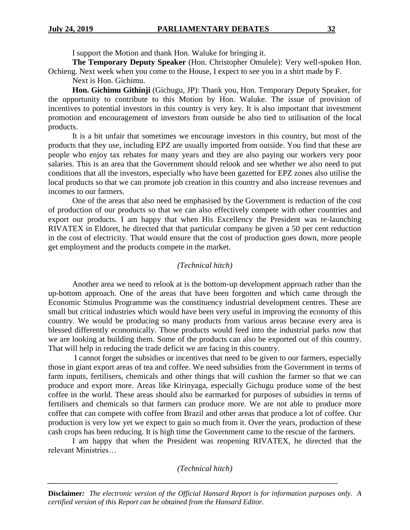I support the Motion and thank Hon. Waluke for bringing it.

**The Temporary Deputy Speaker** (Hon. Christopher Omulele): Very well-spoken Hon. Ochieng. Next week when you come to the House, I expect to see you in a shirt made by F.

Next is Hon. Gichimu.

**Hon. Gichimu Githinji** (Gichugu, JP): Thank you, Hon. Temporary Deputy Speaker, for the opportunity to contribute to this Motion by Hon. Waluke. The issue of provision of incentives to potential investors in this country is very key. It is also important that investment promotion and encouragement of investors from outside be also tied to utilisation of the local products.

It is a bit unfair that sometimes we encourage investors in this country, but most of the products that they use, including EPZ are usually imported from outside. You find that these are people who enjoy tax rebates for many years and they are also paying our workers very poor salaries. This is an area that the Government should relook and see whether we also need to put conditions that all the investors, especially who have been gazetted for EPZ zones also utilise the local products so that we can promote job creation in this country and also increase revenues and incomes to our farmers.

One of the areas that also need be emphasised by the Government is reduction of the cost of production of our products so that we can also effectively compete with other countries and export our products. I am happy that when His Excellency the President was re-launching RIVATEX in Eldoret, he directed that that particular company be given a 50 per cent reduction in the cost of electricity. That would ensure that the cost of production goes down, more people get employment and the products compete in the market.

#### *(Technical hitch)*

Another area we need to relook at is the bottom-up development approach rather than the up-bottom approach. One of the areas that have been forgotten and which came through the Economic Stimulus Programme was the constituency industrial development centres. These are small but critical industries which would have been very useful in improving the economy of this country. We would be producing so many products from various areas because every area is blessed differently economically. Those products would feed into the industrial parks now that we are looking at building them. Some of the products can also be exported out of this country. That will help in reducing the trade deficit we are facing in this country.

I cannot forget the subsidies or incentives that need to be given to our farmers, especially those in giant export areas of tea and coffee. We need subsidies from the Government in terms of farm inputs, fertilisers, chemicals and other things that will cushion the farmer so that we can produce and export more. Areas like Kirinyaga, especially Gichugu produce some of the best coffee in the world. These areas should also be earmarked for purposes of subsidies in terms of fertilisers and chemicals so that farmers can produce more. We are not able to produce more coffee that can compete with coffee from Brazil and other areas that produce a lot of coffee. Our production is very low yet we expect to gain so much from it. Over the years, production of these cash crops has been reducing. It is high time the Government came to the rescue of the farmers.

I am happy that when the President was reopening RIVATEX, he directed that the relevant Ministries…

*(Technical hitch)*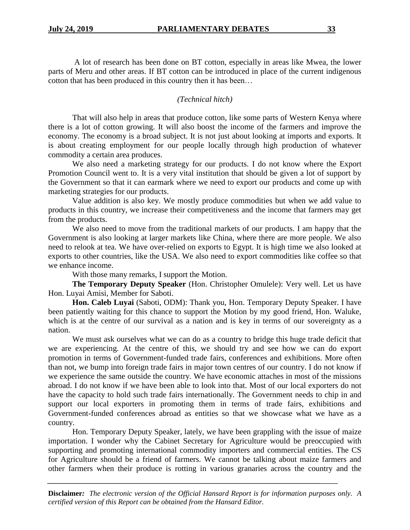A lot of research has been done on BT cotton, especially in areas like Mwea, the lower parts of Meru and other areas. If BT cotton can be introduced in place of the current indigenous cotton that has been produced in this country then it has been…

#### *(Technical hitch)*

That will also help in areas that produce cotton, like some parts of Western Kenya where there is a lot of cotton growing. It will also boost the income of the farmers and improve the economy. The economy is a broad subject. It is not just about looking at imports and exports. It is about creating employment for our people locally through high production of whatever commodity a certain area produces.

We also need a marketing strategy for our products. I do not know where the Export Promotion Council went to. It is a very vital institution that should be given a lot of support by the Government so that it can earmark where we need to export our products and come up with marketing strategies for our products.

Value addition is also key. We mostly produce commodities but when we add value to products in this country, we increase their competitiveness and the income that farmers may get from the products.

We also need to move from the traditional markets of our products. I am happy that the Government is also looking at larger markets like China, where there are more people. We also need to relook at tea. We have over-relied on exports to Egypt. It is high time we also looked at exports to other countries, like the USA. We also need to export commodities like coffee so that we enhance income.

With those many remarks, I support the Motion.

**The Temporary Deputy Speaker** (Hon. Christopher Omulele): Very well. Let us have Hon. Luyai Amisi, Member for Saboti.

**Hon. Caleb Luyai** (Saboti, ODM): Thank you, Hon. Temporary Deputy Speaker. I have been patiently waiting for this chance to support the Motion by my good friend, Hon. Waluke, which is at the centre of our survival as a nation and is key in terms of our sovereignty as a nation.

We must ask ourselves what we can do as a country to bridge this huge trade deficit that we are experiencing. At the centre of this, we should try and see how we can do export promotion in terms of Government-funded trade fairs, conferences and exhibitions. More often than not, we bump into foreign trade fairs in major town centres of our country. I do not know if we experience the same outside the country. We have economic attaches in most of the missions abroad. I do not know if we have been able to look into that. Most of our local exporters do not have the capacity to hold such trade fairs internationally. The Government needs to chip in and support our local exporters in promoting them in terms of trade fairs, exhibitions and Government-funded conferences abroad as entities so that we showcase what we have as a country.

Hon. Temporary Deputy Speaker, lately, we have been grappling with the issue of maize importation. I wonder why the Cabinet Secretary for Agriculture would be preoccupied with supporting and promoting international commodity importers and commercial entities. The CS for Agriculture should be a friend of farmers. We cannot be talking about maize farmers and other farmers when their produce is rotting in various granaries across the country and the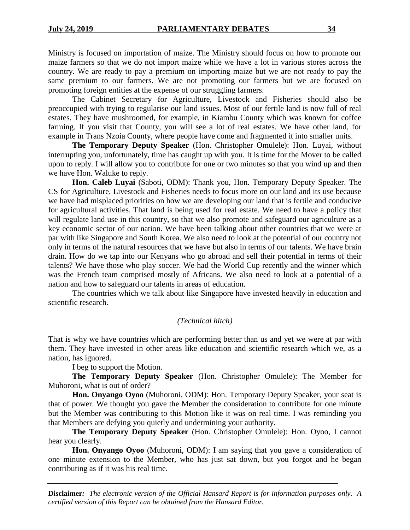Ministry is focused on importation of maize. The Ministry should focus on how to promote our maize farmers so that we do not import maize while we have a lot in various stores across the country. We are ready to pay a premium on importing maize but we are not ready to pay the same premium to our farmers. We are not promoting our farmers but we are focused on promoting foreign entities at the expense of our struggling farmers.

The Cabinet Secretary for Agriculture, Livestock and Fisheries should also be preoccupied with trying to regularise our land issues. Most of our fertile land is now full of real estates. They have mushroomed, for example, in Kiambu County which was known for coffee farming. If you visit that County, you will see a lot of real estates. We have other land, for example in Trans Nzoia County, where people have come and fragmented it into smaller units.

**The Temporary Deputy Speaker** (Hon. Christopher Omulele): Hon. Luyai, without interrupting you, unfortunately, time has caught up with you. It is time for the Mover to be called upon to reply. I will allow you to contribute for one or two minutes so that you wind up and then we have Hon. Waluke to reply.

**Hon. Caleb Luyai** (Saboti, ODM): Thank you, Hon. Temporary Deputy Speaker. The CS for Agriculture, Livestock and Fisheries needs to focus more on our land and its use because we have had misplaced priorities on how we are developing our land that is fertile and conducive for agricultural activities. That land is being used for real estate. We need to have a policy that will regulate land use in this country, so that we also promote and safeguard our agriculture as a key economic sector of our nation. We have been talking about other countries that we were at par with like Singapore and South Korea. We also need to look at the potential of our country not only in terms of the natural resources that we have but also in terms of our talents. We have brain drain. How do we tap into our Kenyans who go abroad and sell their potential in terms of their talents? We have those who play soccer. We had the World Cup recently and the winner which was the French team comprised mostly of Africans. We also need to look at a potential of a nation and how to safeguard our talents in areas of education.

The countries which we talk about like Singapore have invested heavily in education and scientific research.

## *(Technical hitch)*

That is why we have countries which are performing better than us and yet we were at par with them. They have invested in other areas like education and scientific research which we, as a nation, has ignored.

I beg to support the Motion.

**The Temporary Deputy Speaker** (Hon. Christopher Omulele): The Member for Muhoroni, what is out of order?

**Hon. Onyango Oyoo** (Muhoroni, ODM): Hon. Temporary Deputy Speaker, your seat is that of power. We thought you gave the Member the consideration to contribute for one minute but the Member was contributing to this Motion like it was on real time. I was reminding you that Members are defying you quietly and undermining your authority.

**The Temporary Deputy Speaker** (Hon. Christopher Omulele): Hon. Oyoo, I cannot hear you clearly.

**Hon. Onyango Oyoo** (Muhoroni, ODM): I am saying that you gave a consideration of one minute extension to the Member, who has just sat down, but you forgot and he began contributing as if it was his real time.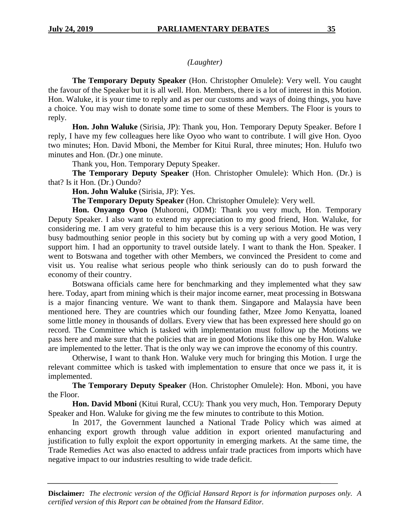## *(Laughter)*

**The Temporary Deputy Speaker** (Hon. Christopher Omulele): Very well. You caught the favour of the Speaker but it is all well. Hon. Members, there is a lot of interest in this Motion. Hon. Waluke, it is your time to reply and as per our customs and ways of doing things, you have a choice. You may wish to donate some time to some of these Members. The Floor is yours to reply.

**Hon. John Waluke** (Sirisia, JP): Thank you, Hon. Temporary Deputy Speaker. Before I reply, I have my few colleagues here like Oyoo who want to contribute. I will give Hon. Oyoo two minutes; Hon. David Mboni, the Member for Kitui Rural, three minutes; Hon. Hulufo two minutes and Hon. (Dr.) one minute.

Thank you, Hon. Temporary Deputy Speaker.

**The Temporary Deputy Speaker** (Hon. Christopher Omulele): Which Hon. (Dr.) is that? Is it Hon. (Dr.) Oundo?

**Hon. John Waluke** (Sirisia, JP): Yes.

**The Temporary Deputy Speaker** (Hon. Christopher Omulele): Very well.

**Hon. Onyango Oyoo** (Muhoroni, ODM): Thank you very much, Hon. Temporary Deputy Speaker. I also want to extend my appreciation to my good friend, Hon. Waluke, for considering me. I am very grateful to him because this is a very serious Motion. He was very busy badmouthing senior people in this society but by coming up with a very good Motion, I support him. I had an opportunity to travel outside lately. I want to thank the Hon. Speaker. I went to Botswana and together with other Members, we convinced the President to come and visit us. You realise what serious people who think seriously can do to push forward the economy of their country.

Botswana officials came here for benchmarking and they implemented what they saw here. Today, apart from mining which is their major income earner, meat processing in Botswana is a major financing venture. We want to thank them. Singapore and Malaysia have been mentioned here. They are countries which our founding father, Mzee Jomo Kenyatta, loaned some little money in thousands of dollars. Every view that has been expressed here should go on record. The Committee which is tasked with implementation must follow up the Motions we pass here and make sure that the policies that are in good Motions like this one by Hon. Waluke are implemented to the letter. That is the only way we can improve the economy of this country.

Otherwise, I want to thank Hon. Waluke very much for bringing this Motion. I urge the relevant committee which is tasked with implementation to ensure that once we pass it, it is implemented.

**The Temporary Deputy Speaker** (Hon. Christopher Omulele): Hon. Mboni, you have the Floor.

**Hon. David Mboni** (Kitui Rural, CCU): Thank you very much, Hon. Temporary Deputy Speaker and Hon. Waluke for giving me the few minutes to contribute to this Motion.

In 2017, the Government launched a National Trade Policy which was aimed at enhancing export growth through value addition in export oriented manufacturing and justification to fully exploit the export opportunity in emerging markets. At the same time, the Trade Remedies Act was also enacted to address unfair trade practices from imports which have negative impact to our industries resulting to wide trade deficit.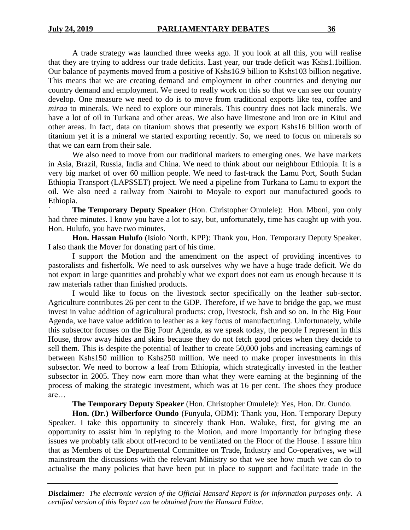A trade strategy was launched three weeks ago. If you look at all this, you will realise that they are trying to address our trade deficits. Last year, our trade deficit was Kshs1.1billion. Our balance of payments moved from a positive of Kshs16.9 billion to Kshs103 billion negative. This means that we are creating demand and employment in other countries and denying our country demand and employment. We need to really work on this so that we can see our country develop. One measure we need to do is to move from traditional exports like tea, coffee and *miraa* to minerals. We need to explore our minerals. This country does not lack minerals. We have a lot of oil in Turkana and other areas. We also have limestone and iron ore in Kitui and other areas. In fact, data on titanium shows that presently we export Kshs16 billion worth of titanium yet it is a mineral we started exporting recently. So, we need to focus on minerals so that we can earn from their sale.

We also need to move from our traditional markets to emerging ones. We have markets in Asia, Brazil, Russia, India and China. We need to think about our neighbour Ethiopia. It is a very big market of over 60 million people. We need to fast-track the Lamu Port, South Sudan Ethiopia Transport (LAPSSET) project. We need a pipeline from Turkana to Lamu to export the oil. We also need a railway from Nairobi to Moyale to export our manufactured goods to Ethiopia.

**The Temporary Deputy Speaker** (Hon. Christopher Omulele): Hon. Mboni, you only had three minutes. I know you have a lot to say, but, unfortunately, time has caught up with you. Hon. Hulufo, you have two minutes.

**Hon. Hassan Hulufo** (Isiolo North, KPP): Thank you, Hon. Temporary Deputy Speaker. I also thank the Mover for donating part of his time.

I support the Motion and the amendment on the aspect of providing incentives to pastoralists and fisherfolk. We need to ask ourselves why we have a huge trade deficit. We do not export in large quantities and probably what we export does not earn us enough because it is raw materials rather than finished products.

I would like to focus on the livestock sector specifically on the leather sub-sector. Agriculture contributes 26 per cent to the GDP. Therefore, if we have to bridge the gap, we must invest in value addition of agricultural products: crop, livestock, fish and so on. In the Big Four Agenda, we have value addition to leather as a key focus of manufacturing. Unfortunately, while this subsector focuses on the Big Four Agenda, as we speak today, the people I represent in this House, throw away hides and skins because they do not fetch good prices when they decide to sell them. This is despite the potential of leather to create 50,000 jobs and increasing earnings of between Kshs150 million to Kshs250 million. We need to make proper investments in this subsector. We need to borrow a leaf from Ethiopia, which strategically invested in the leather subsector in 2005. They now earn more than what they were earning at the beginning of the process of making the strategic investment, which was at 16 per cent. The shoes they produce are…

**The Temporary Deputy Speaker** (Hon. Christopher Omulele): Yes, Hon. Dr. Oundo.

**Hon. (Dr.) Wilberforce Oundo** (Funyula, ODM): Thank you, Hon. Temporary Deputy Speaker. I take this opportunity to sincerely thank Hon. Waluke, first, for giving me an opportunity to assist him in replying to the Motion, and more importantly for bringing these issues we probably talk about off-record to be ventilated on the Floor of the House. I assure him that as Members of the Departmental Committee on Trade, Industry and Co-operatives, we will mainstream the discussions with the relevant Ministry so that we see how much we can do to actualise the many policies that have been put in place to support and facilitate trade in the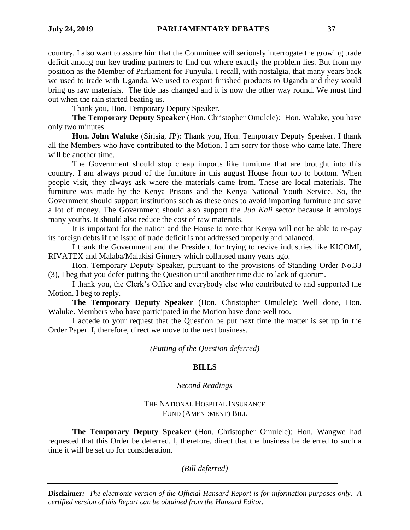country. I also want to assure him that the Committee will seriously interrogate the growing trade deficit among our key trading partners to find out where exactly the problem lies. But from my position as the Member of Parliament for Funyula, I recall, with nostalgia, that many years back we used to trade with Uganda. We used to export finished products to Uganda and they would bring us raw materials. The tide has changed and it is now the other way round. We must find out when the rain started beating us.

Thank you, Hon. Temporary Deputy Speaker.

**The Temporary Deputy Speaker** (Hon. Christopher Omulele): Hon. Waluke, you have only two minutes.

**Hon. John Waluke** (Sirisia, JP): Thank you, Hon. Temporary Deputy Speaker. I thank all the Members who have contributed to the Motion. I am sorry for those who came late. There will be another time.

The Government should stop cheap imports like furniture that are brought into this country. I am always proud of the furniture in this august House from top to bottom. When people visit, they always ask where the materials came from. These are local materials. The furniture was made by the Kenya Prisons and the Kenya National Youth Service. So, the Government should support institutions such as these ones to avoid importing furniture and save a lot of money. The Government should also support the *Jua Kali* sector because it employs many youths. It should also reduce the cost of raw materials.

It is important for the nation and the House to note that Kenya will not be able to re-pay its foreign debts if the issue of trade deficit is not addressed properly and balanced.

I thank the Government and the President for trying to revive industries like KICOMI, RIVATEX and Malaba/Malakisi Ginnery which collapsed many years ago.

Hon. Temporary Deputy Speaker, pursuant to the provisions of Standing Order No.33 (3), I beg that you defer putting the Question until another time due to lack of quorum.

I thank you, the Clerk's Office and everybody else who contributed to and supported the Motion. I beg to reply.

**The Temporary Deputy Speaker** (Hon. Christopher Omulele): Well done, Hon. Waluke. Members who have participated in the Motion have done well too.

I accede to your request that the Question be put next time the matter is set up in the Order Paper. I, therefore, direct we move to the next business.

*(Putting of the Question deferred)*

## **BILLS**

## *Second Readings*

#### THE NATIONAL HOSPITAL INSURANCE FUND (AMENDMENT) BILL

**The Temporary Deputy Speaker** (Hon. Christopher Omulele): Hon. Wangwe had requested that this Order be deferred. I, therefore, direct that the business be deferred to such a time it will be set up for consideration.

## *(Bill deferred)*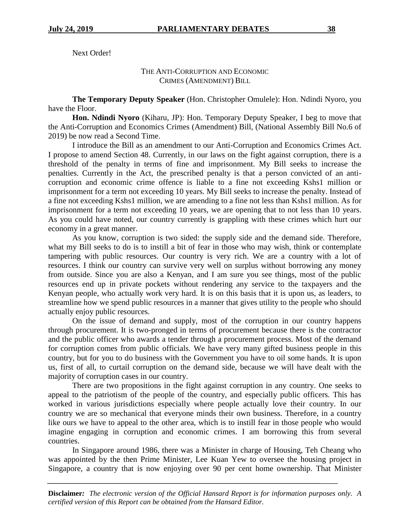Next Order!

## THE ANTI-CORRUPTION AND ECONOMIC CRIMES (AMENDMENT) BILL

**The Temporary Deputy Speaker** (Hon. Christopher Omulele): Hon. Ndindi Nyoro, you have the Floor.

**Hon. Ndindi Nyoro** (Kiharu, JP): Hon. Temporary Deputy Speaker, I beg to move that the Anti-Corruption and Economics Crimes (Amendment) Bill, (National Assembly Bill No.6 of 2019) be now read a Second Time.

I introduce the Bill as an amendment to our Anti-Corruption and Economics Crimes Act. I propose to amend Section 48. Currently, in our laws on the fight against corruption, there is a threshold of the penalty in terms of fine and imprisonment. My Bill seeks to increase the penalties. Currently in the Act, the prescribed penalty is that a person convicted of an anticorruption and economic crime offence is liable to a fine not exceeding Kshs1 million or imprisonment for a term not exceeding 10 years. My Bill seeks to increase the penalty. Instead of a fine not exceeding Kshs1 million, we are amending to a fine not less than Kshs1 million. As for imprisonment for a term not exceeding 10 years, we are opening that to not less than 10 years. As you could have noted, our country currently is grappling with these crimes which hurt our economy in a great manner.

As you know, corruption is two sided: the supply side and the demand side. Therefore, what my Bill seeks to do is to instill a bit of fear in those who may wish, think or contemplate tampering with public resources. Our country is very rich. We are a country with a lot of resources. I think our country can survive very well on surplus without borrowing any money from outside. Since you are also a Kenyan, and I am sure you see things, most of the public resources end up in private pockets without rendering any service to the taxpayers and the Kenyan people, who actually work very hard. It is on this basis that it is upon us, as leaders, to streamline how we spend public resources in a manner that gives utility to the people who should actually enjoy public resources.

On the issue of demand and supply, most of the corruption in our country happens through procurement. It is two-pronged in terms of procurement because there is the contractor and the public officer who awards a tender through a procurement process. Most of the demand for corruption comes from public officials. We have very many gifted business people in this country, but for you to do business with the Government you have to oil some hands. It is upon us, first of all, to curtail corruption on the demand side, because we will have dealt with the majority of corruption cases in our country.

There are two propositions in the fight against corruption in any country. One seeks to appeal to the patriotism of the people of the country, and especially public officers. This has worked in various jurisdictions especially where people actually love their country. In our country we are so mechanical that everyone minds their own business. Therefore, in a country like ours we have to appeal to the other area, which is to instill fear in those people who would imagine engaging in corruption and economic crimes. I am borrowing this from several countries.

In Singapore around 1986, there was a Minister in charge of Housing, Teh Cheang who was appointed by the then Prime Minister, Lee Kuan Yew to oversee the housing project in Singapore, a country that is now enjoying over 90 per cent home ownership. That Minister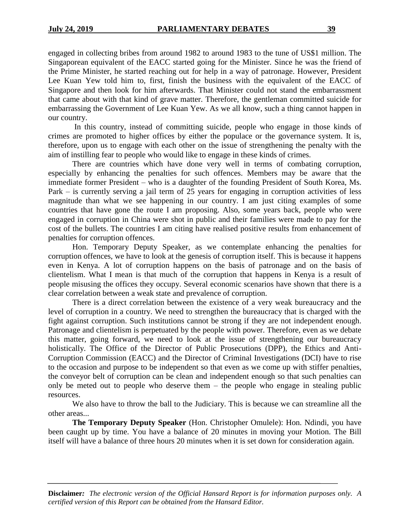engaged in collecting bribes from around 1982 to around 1983 to the tune of US\$1 million. The Singaporean equivalent of the EACC started going for the Minister. Since he was the friend of the Prime Minister, he started reaching out for help in a way of patronage. However, President Lee Kuan Yew told him to, first, finish the business with the equivalent of the EACC of Singapore and then look for him afterwards. That Minister could not stand the embarrassment that came about with that kind of grave matter. Therefore, the gentleman committed suicide for embarrassing the Government of Lee Kuan Yew. As we all know, such a thing cannot happen in our country.

In this country, instead of committing suicide, people who engage in those kinds of crimes are promoted to higher offices by either the populace or the governance system. It is, therefore, upon us to engage with each other on the issue of strengthening the penalty with the aim of instilling fear to people who would like to engage in these kinds of crimes.

There are countries which have done very well in terms of combating corruption, especially by enhancing the penalties for such offences. Members may be aware that the immediate former President – who is a daughter of the founding President of South Korea, Ms. Park – is currently serving a jail term of 25 years for engaging in corruption activities of less magnitude than what we see happening in our country. I am just citing examples of some countries that have gone the route I am proposing. Also, some years back, people who were engaged in corruption in China were shot in public and their families were made to pay for the cost of the bullets. The countries I am citing have realised positive results from enhancement of penalties for corruption offences.

Hon. Temporary Deputy Speaker, as we contemplate enhancing the penalties for corruption offences, we have to look at the genesis of corruption itself. This is because it happens even in Kenya. A lot of corruption happens on the basis of patronage and on the basis of clientelism. What I mean is that much of the corruption that happens in Kenya is a result of people misusing the offices they occupy. Several economic scenarios have shown that there is a clear correlation between a weak state and prevalence of corruption.

There is a direct correlation between the existence of a very weak bureaucracy and the level of corruption in a country. We need to strengthen the bureaucracy that is charged with the fight against corruption. Such institutions cannot be strong if they are not independent enough. Patronage and clientelism is perpetuated by the people with power. Therefore, even as we debate this matter, going forward, we need to look at the issue of strengthening our bureaucracy holistically. The Office of the Director of Public Prosecutions (DPP), the Ethics and Anti-Corruption Commission (EACC) and the Director of Criminal Investigations (DCI) have to rise to the occasion and purpose to be independent so that even as we come up with stiffer penalties, the conveyor belt of corruption can be clean and independent enough so that such penalties can only be meted out to people who deserve them – the people who engage in stealing public resources.

We also have to throw the ball to the Judiciary. This is because we can streamline all the other areas...

**The Temporary Deputy Speaker** (Hon. Christopher Omulele): Hon. Ndindi, you have been caught up by time. You have a balance of 20 minutes in moving your Motion. The Bill itself will have a balance of three hours 20 minutes when it is set down for consideration again.